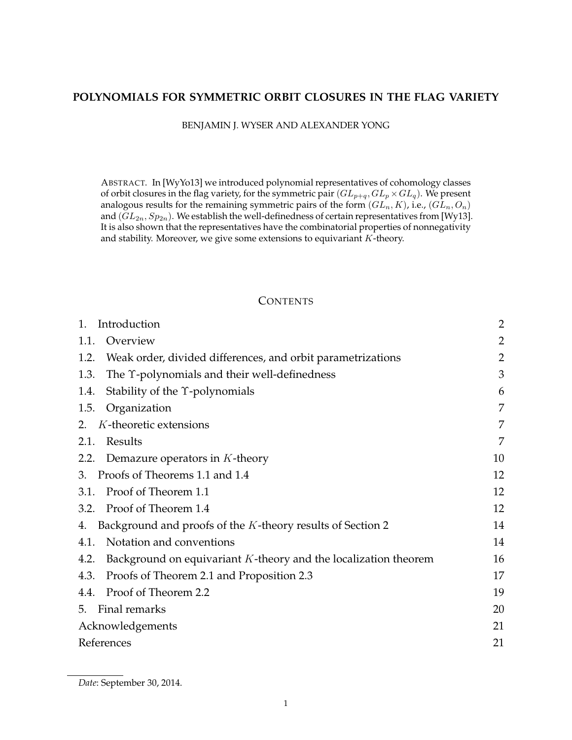# **POLYNOMIALS FOR SYMMETRIC ORBIT CLOSURES IN THE FLAG VARIETY**

BENJAMIN J. WYSER AND ALEXANDER YONG

ABSTRACT. In [WyYo13] we introduced polynomial representatives of cohomology classes of orbit closures in the flag variety, for the symmetric pair  $(GL_{p+q}, GL_p \times GL_q)$ . We present analogous results for the remaining symmetric pairs of the form  $(GL_n, K)$ , i.e.,  $(GL_n, O_n)$ and  $(GL_{2n}, Sp_{2n})$ . We establish the well-definedness of certain representatives from [Wy13]. It is also shown that the representatives have the combinatorial properties of nonnegativity and stability. Moreover, we give some extensions to equivariant  $K$ -theory.

### **CONTENTS**

| Introduction                                                               | $\overline{2}$ |
|----------------------------------------------------------------------------|----------------|
| Overview<br>1.1.                                                           | $\overline{2}$ |
| 1.2.<br>Weak order, divided differences, and orbit parametrizations        | $\overline{2}$ |
| The $\Upsilon$ -polynomials and their well-definedness<br>1.3.             | 3              |
| Stability of the $\Upsilon$ -polynomials<br>1.4.                           | 6              |
| Organization<br>1.5.                                                       | 7              |
| K-theoretic extensions<br>2.                                               | 7              |
| Results<br>2.1.                                                            | 7              |
| Demazure operators in $K$ -theory<br>2.2.                                  | 10             |
| 3. Proofs of Theorems 1.1 and 1.4                                          | 12             |
| Proof of Theorem 1.1<br>3.1.                                               | 12             |
| Proof of Theorem 1.4<br>3.2.                                               | 12             |
| Background and proofs of the K-theory results of Section 2<br>4.           | 14             |
| Notation and conventions<br>4.1.                                           | 14             |
| Background on equivariant $K$ -theory and the localization theorem<br>4.2. | 16             |
| Proofs of Theorem 2.1 and Proposition 2.3<br>4.3.                          | 17             |
| 4.4. Proof of Theorem 2.2                                                  | 19             |
| 5. Final remarks                                                           | 20             |
| Acknowledgements                                                           | 21             |
| References                                                                 | 21             |

*Date*: September 30, 2014.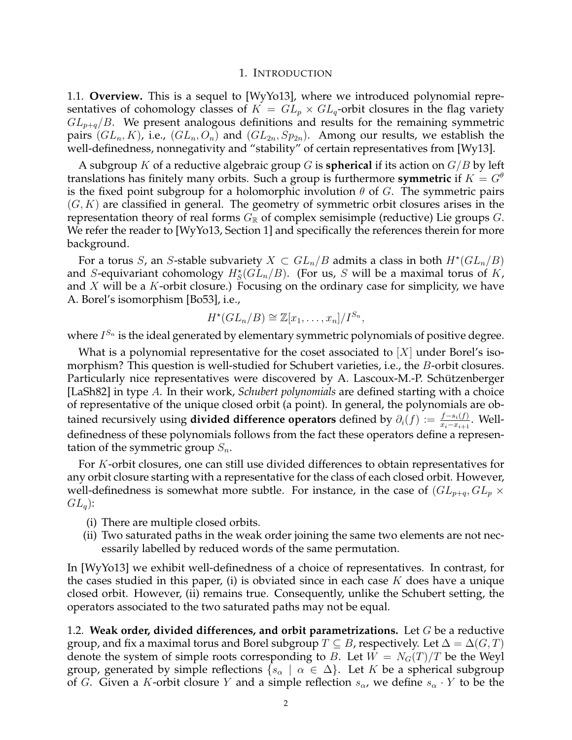#### 1. INTRODUCTION

1.1. **Overview.** This is a sequel to [WyYo13], where we introduced polynomial representatives of cohomology classes of  $K = GL_p \times GL_q$ -orbit closures in the flag variety  $GL_{p+q}/B$ . We present analogous definitions and results for the remaining symmetric pairs  $(GL_n, K)$ , i.e.,  $(GL_n, O_n)$  and  $(GL_{2n}, Sp_{2n})$ . Among our results, we establish the well-definedness, nonnegativity and "stability" of certain representatives from [Wy13].

A subgroup K of a reductive algebraic group G is **spherical** if its action on G/B by left translations has finitely many orbits. Such a group is furthermore **symmetric** if  $K = G^{\theta}$ is the fixed point subgroup for a holomorphic involution  $\theta$  of G. The symmetric pairs  $(G, K)$  are classified in general. The geometry of symmetric orbit closures arises in the representation theory of real forms  $G_{\mathbb{R}}$  of complex semisimple (reductive) Lie groups G. We refer the reader to [WyYo13, Section 1] and specifically the references therein for more background.

For a torus S, an S-stable subvariety  $X \subset GL_n/B$  admits a class in both  $H^*(GL_n/B)$ and S-equivariant cohomology  $H_S^*(GL_n/B)$ . (For us, S will be a maximal torus of K, and  $X$  will be a  $K$ -orbit closure.) Focusing on the ordinary case for simplicity, we have A. Borel's isomorphism [Bo53], i.e.,

$$
H^*(GL_n/B)\cong \mathbb{Z}[x_1,\ldots,x_n]/I^{S_n},
$$

where  $I^{S_n}$  is the ideal generated by elementary symmetric polynomials of positive degree.

What is a polynomial representative for the coset associated to  $|X|$  under Borel's isomorphism? This question is well-studied for Schubert varieties, i.e., the *B*-orbit closures. Particularly nice representatives were discovered by A. Lascoux-M.-P. Schützenberger [LaSh82] in type A. In their work, *Schubert polynomials* are defined starting with a choice of representative of the unique closed orbit (a point). In general, the polynomials are obtained recursively using **divided difference operators** defined by  $\partial_i(f) := \frac{f - s_i(f)}{x_i - x_{i+1}}$ . Welldefinedness of these polynomials follows from the fact these operators define a representation of the symmetric group  $S_n$ .

For K-orbit closures, one can still use divided differences to obtain representatives for any orbit closure starting with a representative for the class of each closed orbit. However, well-definedness is somewhat more subtle. For instance, in the case of  $(GL_{p+q}, GL_p \times$  $GL_q$ :

- (i) There are multiple closed orbits.
- (ii) Two saturated paths in the weak order joining the same two elements are not necessarily labelled by reduced words of the same permutation.

In [WyYo13] we exhibit well-definedness of a choice of representatives. In contrast, for the cases studied in this paper, (i) is obviated since in each case  $K$  does have a unique closed orbit. However, (ii) remains true. Consequently, unlike the Schubert setting, the operators associated to the two saturated paths may not be equal.

1.2. **Weak order, divided differences, and orbit parametrizations.** Let G be a reductive group, and fix a maximal torus and Borel subgroup  $T \subseteq B$ , respectively. Let  $\Delta = \Delta(G, T)$ denote the system of simple roots corresponding to B. Let  $W = N<sub>G</sub>(T)/T$  be the Weyl group, generated by simple reflections  $\{s_\alpha \mid \alpha \in \Delta\}$ . Let K be a spherical subgroup of G. Given a K-orbit closure Y and a simple reflection  $s_{\alpha}$ , we define  $s_{\alpha} \cdot Y$  to be the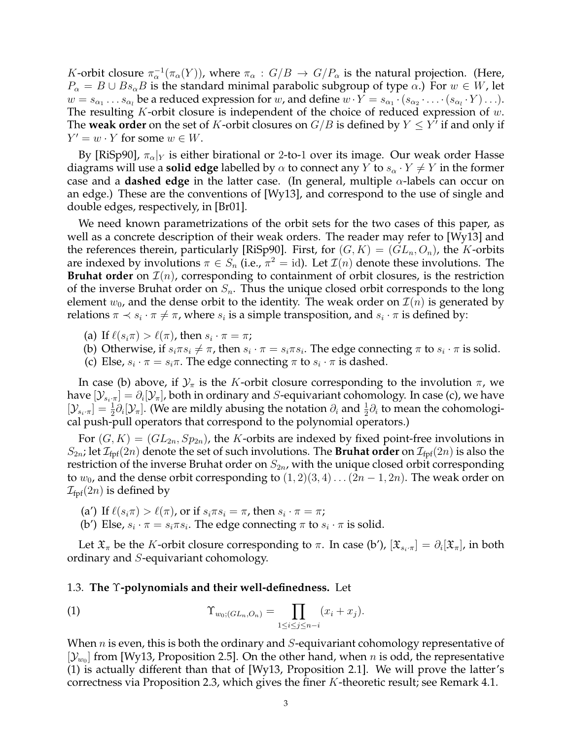K-orbit closure  $\pi_{\alpha}^{-1}(\pi_{\alpha}(Y))$ , where  $\pi_{\alpha}: G/B \to G/P_{\alpha}$  is the natural projection. (Here,  $P_{\alpha} = B \cup Bs_{\alpha}B$  is the standard minimal parabolic subgroup of type  $\alpha$ .) For  $w \in W$ , let  $w = s_{\alpha_1} \ldots s_{\alpha_l}$  be a reduced expression for  $w$ , and define  $w \cdot Y = s_{\alpha_1} \cdot (s_{\alpha_2} \cdot \ldots \cdot (s_{\alpha_l} \cdot Y) \ldots)$ . The resulting  $K$ -orbit closure is independent of the choice of reduced expression of  $w$ . The **weak order** on the set of K-orbit closures on  $G/B$  is defined by  $Y \le Y^7$  if and only if  $Y' = w \cdot Y$  for some  $w \in W$ .

By [RiSp90],  $\pi_{\alpha}|_Y$  is either birational or 2-to-1 over its image. Our weak order Hasse diagrams will use a **solid edge** labelled by  $\alpha$  to connect any Y to  $s_{\alpha} \cdot Y \neq Y$  in the former case and a **dashed edge** in the latter case. (In general, multiple α-labels can occur on an edge.) These are the conventions of [Wy13], and correspond to the use of single and double edges, respectively, in [Br01].

We need known parametrizations of the orbit sets for the two cases of this paper, as well as a concrete description of their weak orders. The reader may refer to [Wy13] and the references therein, particularly [RiSp90]. First, for  $(G, K) = (GL_n, O_n)$ , the K-orbits are indexed by involutions  $\pi \in S_n$  (i.e.,  $\pi^2 = id$ ). Let  $\mathcal{I}(n)$  denote these involutions. The **Bruhat order** on  $\mathcal{I}(n)$ , corresponding to containment of orbit closures, is the restriction of the inverse Bruhat order on  $S_n$ . Thus the unique closed orbit corresponds to the long element  $w_0$ , and the dense orbit to the identity. The weak order on  $\mathcal{I}(n)$  is generated by relations  $\pi \prec s_i \cdot \pi \neq \pi$ , where  $s_i$  is a simple transposition, and  $s_i \cdot \pi$  is defined by:

- (a) If  $\ell(s_i\pi) > \ell(\pi)$ , then  $s_i \cdot \pi = \pi$ ;
- (b) Otherwise, if  $s_i \pi s_i \neq \pi$ , then  $s_i \cdot \pi = s_i \pi s_i$ . The edge connecting  $\pi$  to  $s_i \cdot \pi$  is solid.
- (c) Else,  $s_i \cdot \pi = s_i \pi$ . The edge connecting  $\pi$  to  $s_i \cdot \pi$  is dashed.

In case (b) above, if  $\mathcal{Y}_{\pi}$  is the K-orbit closure corresponding to the involution  $\pi$ , we have  $[\mathcal{Y}_{s_i\cdot\pi}]=\partial_i[\mathcal{Y}_{\pi}]$ , both in ordinary and  $S$ -equivariant cohomology. In case (c), we have  $[\mathcal{Y}_{s_i\cdot\pi}] = \frac{1}{2}\partial_i[\mathcal{Y}_{\pi}]$ . (We are mildly abusing the notation  $\partial_i$  and  $\frac{1}{2}\partial_i$  to mean the cohomological push-pull operators that correspond to the polynomial operators.)

For  $(G, K) = (GL_{2n}, Sp_{2n})$ , the K-orbits are indexed by fixed point-free involutions in  $S_{2n}$ ; let  $\mathcal{I}_{\text{fpf}}(2n)$  denote the set of such involutions. The **Bruhat order** on  $\mathcal{I}_{\text{fpf}}(2n)$  is also the restriction of the inverse Bruhat order on  $S_{2n}$ , with the unique closed orbit corresponding to  $w_0$ , and the dense orbit corresponding to  $(1, 2)(3, 4) \dots (2n-1, 2n)$ . The weak order on  $\mathcal{I}_{\text{fpf}}(2n)$  is defined by

- (a') If  $\ell(s_i\pi) > \ell(\pi)$ , or if  $s_i\pi s_i = \pi$ , then  $s_i \cdot \pi = \pi$ ;
- (b') Else,  $s_i \cdot \pi = s_i \pi s_i$ . The edge connecting  $\pi$  to  $s_i \cdot \pi$  is solid.

Let  $\mathfrak{X}_\pi$  be the K-orbit closure corresponding to  $\pi$ . In case (b'),  $[\mathfrak{X}_{s_i\cdot\pi}]=\partial_i[\mathfrak{X}_\pi]$ , in both ordinary and S-equivariant cohomology.

#### 1.3. **The** Υ**-polynomials and their well-definedness.** Let

(1) 
$$
\Upsilon_{w_0;(GL_n,O_n)} = \prod_{1 \leq i \leq j \leq n-i} (x_i + x_j).
$$

When  $n$  is even, this is both the ordinary and  $S$ -equivariant cohomology representative of  $[\mathcal{Y}_{w_0}]$  from [Wy13, Proposition 2.5]. On the other hand, when n is odd, the representative (1) is actually different than that of [Wy13, Proposition 2.1]. We will prove the latter's correctness via Proposition 2.3, which gives the finer K-theoretic result; see Remark 4.1.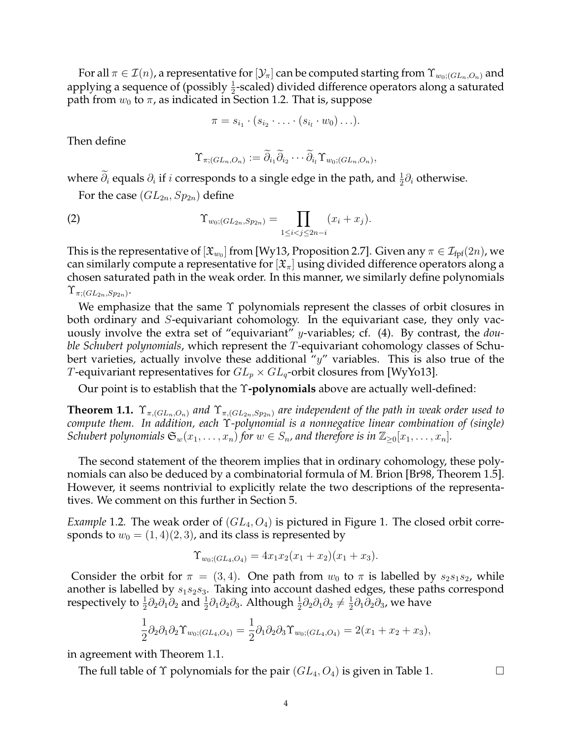For all  $\pi \in \mathcal{I}(n)$ , a representative for  $[\mathcal{Y}_\pi]$  can be computed starting from  $\Upsilon_{w_0:(GL_n,O_n)}$  and applying a sequence of (possibly  $\frac{1}{2}$ -scaled) divided difference operators along a saturated path from  $w_0$  to  $\pi$ , as indicated in Section 1.2. That is, suppose

$$
\pi = s_{i_1} \cdot (s_{i_2} \cdot \ldots \cdot (s_{i_l} \cdot w_0) \ldots).
$$

Then define

$$
\Upsilon_{\pi;(GL_n,O_n)}:=\widetilde{\partial}_{i_1}\widetilde{\partial}_{i_2}\cdots\widetilde{\partial}_{i_l}\Upsilon_{w_0;(GL_n,O_n)},
$$

where  $\tilde{\partial}_i$  equals  $\partial_i$  if  $i$  corresponds to a single edge in the path, and  $\frac{1}{2}\partial_i$  otherwise.

For the case  $(GL_{2n}, Sp_{2n})$  define

(2) 
$$
\Upsilon_{w_0;(GL_{2n},Sp_{2n})} = \prod_{1 \leq i < j \leq 2n-i} (x_i + x_j).
$$

This is the representative of  $[\mathfrak{X}_{w_0}]$  from [Wy13, Proposition 2.7]. Given any  $\pi\in\mathcal{I}_\text{fpf}(2n)$ , we can similarly compute a representative for  $[\mathfrak{X}_{\pi}]$  using divided difference operators along a chosen saturated path in the weak order. In this manner, we similarly define polynomials  $\Upsilon_{\pi;(GL_{2n},Sp_{2n})}.$ 

We emphasize that the same Υ polynomials represent the classes of orbit closures in both ordinary and S-equivariant cohomology. In the equivariant case, they only vacuously involve the extra set of "equivariant" y-variables; cf. (4). By contrast, the *double Schubert polynomials*, which represent the T-equivariant cohomology classes of Schubert varieties, actually involve these additional " $y$ " variables. This is also true of the *T*-equivariant representatives for  $GL_p \times GL_q$ -orbit closures from [WyYo13].

Our point is to establish that the Υ**-polynomials** above are actually well-defined:

**Theorem 1.1.**  $\Upsilon_{\pi,(GL_n,O_n)}$  *and*  $\Upsilon_{\pi,(GL_{2n},Sp_{2n})}$  *are independent of the path in weak order used to compute them. In addition, each* Υ*-polynomial is a nonnegative linear combination of (single) Schubert polynomials*  $\mathfrak{S}_w(x_1,\ldots,x_n)$  *for*  $w \in S_n$ , and therefore is in  $\mathbb{Z}_{\geq 0}[x_1,\ldots,x_n]$ .

The second statement of the theorem implies that in ordinary cohomology, these polynomials can also be deduced by a combinatorial formula of M. Brion [Br98, Theorem 1.5]. However, it seems nontrivial to explicitly relate the two descriptions of the representatives. We comment on this further in Section 5.

*Example* 1.2. The weak order of  $(GL_4, O_4)$  is pictured in Figure 1. The closed orbit corresponds to  $w_0 = (1, 4)(2, 3)$ , and its class is represented by

$$
\Upsilon_{w_0;(GL_4,O_4)} = 4x_1x_2(x_1+x_2)(x_1+x_3).
$$

Consider the orbit for  $\pi = (3, 4)$ . One path from  $w_0$  to  $\pi$  is labelled by  $s_2s_1s_2$ , while another is labelled by  $s_1s_2s_3$ . Taking into account dashed edges, these paths correspond respectively to  $\frac{1}{2} \partial_2 \partial_1 \partial_2$  and  $\frac{1}{2} \partial_1 \partial_2 \partial_3$ . Although  $\frac{1}{2} \partial_2 \partial_1 \partial_2 \neq \frac{1}{2}$  $\frac{1}{2}\partial_1\partial_2\partial_3$ , we have

$$
\frac{1}{2}\partial_2\partial_1\partial_2\Upsilon_{w_0;(GL_4,O_4)} = \frac{1}{2}\partial_1\partial_2\partial_3\Upsilon_{w_0;(GL_4,O_4)} = 2(x_1 + x_2 + x_3),
$$

in agreement with Theorem 1.1.

The full table of  $\Upsilon$  polynomials for the pair  $(GL_4, O_4)$  is given in Table 1.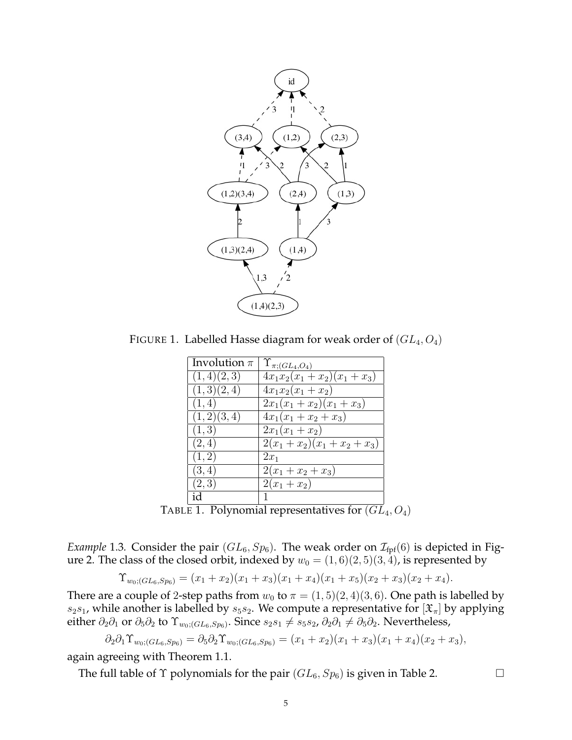

FIGURE 1. Labelled Hasse diagram for weak order of  $(GL_4, O_4)$ 

| Involution $\pi$ | $\Upsilon_{\pi;(GL_4,O_4)}$ |
|------------------|-----------------------------|
| (1,4)(2,3)       | $4x_1x_2(x_1+x_2)(x_1+x_3)$ |
| (1,3)(2,4)       | $4x_1x_2(x_1+x_2)$          |
| (1, 4)           | $2x_1(x_1+x_2)(x_1+x_3)$    |
| (1,2)(3,4)       | $4x_1(x_1+x_2+x_3)$         |
| (1,3)            | $2x_1(x_1+x_2)$             |
| (2,4)            | $2(x_1+x_2)(x_1+x_2+x_3)$   |
| (1, 2)           | $2x_1$                      |
| (3,4)            | $2(x_1+x_2+x_3)$            |
| (2,3)            | $2(x_1+x_2)$                |
| id               |                             |

TABLE 1. Polynomial representatives for  $(GL_4, O_4)$ 

*Example* 1.3. Consider the pair  $(GL_6, Sp_6)$ . The weak order on  $\mathcal{I}_{\text{fpf}}(6)$  is depicted in Figure 2. The class of the closed orbit, indexed by  $w_0 = (1, 6)(2, 5)(3, 4)$ , is represented by

$$
\Upsilon_{w_0;(GL_6,Sp_6)} = (x_1+x_2)(x_1+x_3)(x_1+x_4)(x_1+x_5)(x_2+x_3)(x_2+x_4).
$$

There are a couple of 2-step paths from  $w_0$  to  $\pi = (1, 5)(2, 4)(3, 6)$ . One path is labelled by  $s_2s_1$ , while another is labelled by  $s_5s_2$ . We compute a representative for  $[\mathfrak{X}_{\pi}]$  by applying either  $\partial_2\partial_1$  or  $\partial_5\partial_2$  to  $\Upsilon_{w_0;(GL_6,Sp_6)}$ . Since  $s_2s_1\neq s_5s_2$ ,  $\partial_2\partial_1\neq\partial_5\partial_2$ . Nevertheless,

$$
\partial_2 \partial_1 \Upsilon_{w_0; (GL_6, Sp_6)} = \partial_5 \partial_2 \Upsilon_{w_0; (GL_6, Sp_6)} = (x_1 + x_2)(x_1 + x_3)(x_1 + x_4)(x_2 + x_3),
$$

again agreeing with Theorem 1.1.

The full table of  $\Upsilon$  polynomials for the pair  $(GL_6, Sp_6)$  is given in Table 2.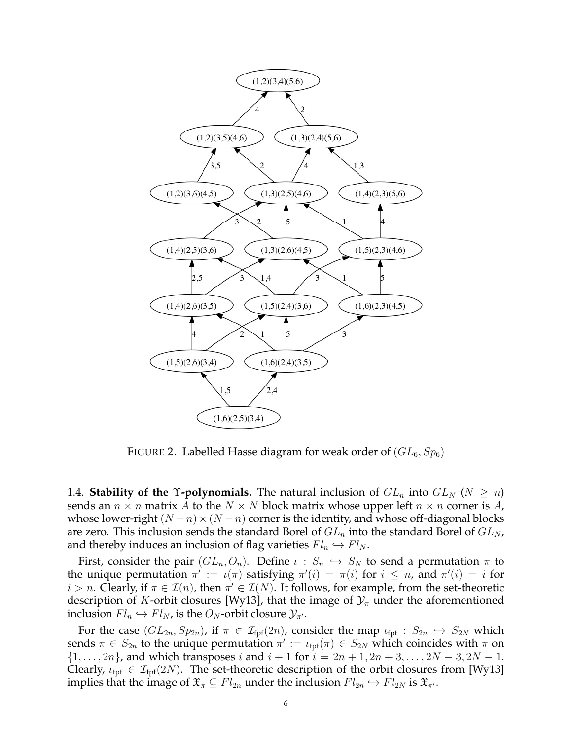

FIGURE 2. Labelled Hasse diagram for weak order of  $(GL_6, Sp_6)$ 

1.4. **Stability of the Y-polynomials.** The natural inclusion of  $GL_n$  into  $GL_N$  ( $N \ge n$ ) sends an  $n \times n$  matrix A to the  $N \times N$  block matrix whose upper left  $n \times n$  corner is A, whose lower-right  $(N - n) \times (N - n)$  corner is the identity, and whose off-diagonal blocks are zero. This inclusion sends the standard Borel of  $GL_n$  into the standard Borel of  $GL_N$ , and thereby induces an inclusion of flag varieties  $Fl_n \hookrightarrow Fl_N$ .

First, consider the pair  $(GL_n, O_n)$ . Define  $\iota : S_n \hookrightarrow S_N$  to send a permutation  $\pi$  to the unique permutation  $\pi' := \iota(\pi)$  satisfying  $\pi'(i) = \pi(i)$  for  $i \leq n$ , and  $\pi'(i) = i$  for  $i > n$ . Clearly, if  $\pi \in \mathcal{I}(n)$ , then  $\pi' \in \mathcal{I}(N)$ . It follows, for example, from the set-theoretic description of K-orbit closures [Wy13], that the image of  $\mathcal{Y}_\pi$  under the aforementioned inclusion  $Fl_n \hookrightarrow Fl_N$ , is the  $O_N$ -orbit closure  $\mathcal{Y}_{\pi'}$ .

For the case  $(GL_{2n}, Sp_{2n})$ , if  $\pi \in \mathcal{I}_{\text{fpf}}(2n)$ , consider the map  $\iota_{\text{fpf}} : S_{2n} \hookrightarrow S_{2N}$  which sends  $\pi \in S_{2n}$  to the unique permutation  $\pi' := \iota_{\text{fpf}}(\pi) \in S_{2N}$  which coincides with  $\pi$  on  $\{1, \ldots, 2n\}$ , and which transposes i and  $i + 1$  for  $i = 2n + 1, 2n + 3, \ldots, 2N - 3, 2N - 1$ . Clearly,  $\iota_{\text{fpf}} \in \mathcal{I}_{\text{fpf}}(2N)$ . The set-theoretic description of the orbit closures from [Wy13] implies that the image of  $\mathfrak{X}_\pi \subseteq Fl_{2n}$  under the inclusion  $Fl_{2n} \hookrightarrow Fl_{2N}$  is  $\mathfrak{X}_{\pi}$ .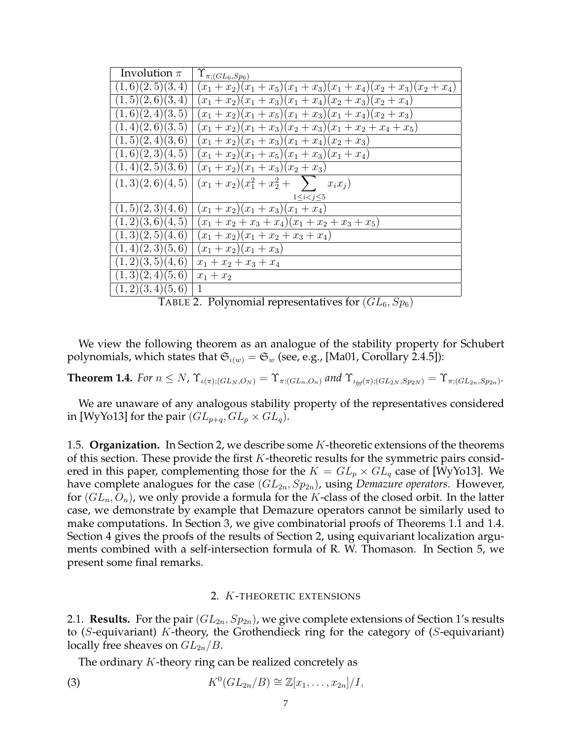| Involution $\pi$ | $\Upsilon_{\pi;(GL_6,Sp_6)}$                             |
|------------------|----------------------------------------------------------|
| (1,6)(2,5)(3,4)  | $(x_1+x_2)(x_1+x_5)(x_1+x_3)(x_1+x_4)(x_2+x_3)(x_2+x_4)$ |
| (1,5)(2,6)(3,4)  | $(x_1+x_2)(x_1+x_3)(x_1+x_4)(x_2+x_3)(x_2+x_4)$          |
| (1,6)(2,4)(3,5)  | $(x_1+x_2)(x_1+x_5)(x_1+x_3)(x_1+x_4)(x_2+x_3)$          |
| (1,4)(2,6)(3,5)  | $(x_1+x_2)(x_1+x_3)(x_2+x_3)(x_1+x_2+x_4+x_5)$           |
| (1,5)(2,4)(3,6)  | $(x_1+x_2)(x_1+x_3)(x_1+x_4)(x_2+x_3)$                   |
| (1,6)(2,3)(4,5)  | $(x_1+x_2)(x_1+x_5)(x_1+x_3)(x_1+x_4)$                   |
| (1,4)(2,5)(3,6)  | $(x_1+x_2)(x_1+x_3)(x_2+x_3)$                            |
| (1,3)(2,6)(4,5)  | $(x_1+x_2)(x_1^2+x_2^2+\sum x_ix_j)$                     |
|                  | $1\leq i < j \leq 5$                                     |
| (1,5)(2,3)(4,6)  | $(x_1+x_2)(x_1+x_3)(x_1+x_4)$                            |
| (1,2)(3,6)(4,5)  | $(x_1+x_2+x_3+x_4)(x_1+x_2+x_3+x_5)$                     |
| (1,3)(2,5)(4,6)  | $(x_1+x_2)(x_1+x_2+x_3+x_4)$                             |
| (1,4)(2,3)(5,6)  | $(x_1+x_2)(x_1+x_3)$                                     |
| (1,2)(3,5)(4,6)  | $x_1 + x_2 + x_3 + x_4$                                  |
| (1,3)(2,4)(5,6)  | $x_1 + x_2$                                              |
| (1,2)(3,4)(5,6)  | $\mathbf{1}$                                             |

TABLE 2. Polynomial representatives for  $(GL_6,Sp_6)$ 

We view the following theorem as an analogue of the stability property for Schubert polynomials, which states that  $\mathfrak{S}_{\iota(w)} = \mathfrak{S}_w$  (see, e.g., [Ma01, Corollary 2.4.5]):

**Theorem 1.4.** *For*  $n \le N$ ,  $\Upsilon_{\iota(\pi);(GL_N,O_N)} = \Upsilon_{\pi;(GL_n,O_n)}$  and  $\Upsilon_{\iota_{\text{fpf}}(\pi);(GL_{2N},Sp_{2N})} = \Upsilon_{\pi;(GL_{2n},Sp_{2n})}$ .

We are unaware of any analogous stability property of the representatives considered in [WyYo13] for the pair  $(GL_{p+q}, GL_p \times GL_q)$ .

1.5. **Organization.** In Section 2, we describe some K-theoretic extensions of the theorems of this section. These provide the first  $K$ -theoretic results for the symmetric pairs considered in this paper, complementing those for the  $K = GL_p \times GL_q$  case of [WyYo13]. We have complete analogues for the case  $(GL_{2n}, Sp_{2n})$ , using *Demazure operators*. However, for  $(GL_n, O_n)$ , we only provide a formula for the K-class of the closed orbit. In the latter case, we demonstrate by example that Demazure operators cannot be similarly used to make computations. In Section 3, we give combinatorial proofs of Theorems 1.1 and 1.4. Section 4 gives the proofs of the results of Section 2, using equivariant localization arguments combined with a self-intersection formula of R. W. Thomason. In Section 5, we present some final remarks.

### 2. K-THEORETIC EXTENSIONS

2.1. **Results.** For the pair  $(GL_{2n}, Sp_{2n})$ , we give complete extensions of Section 1's results to (S-equivariant) K-theory, the Grothendieck ring for the category of (S-equivariant) locally free sheaves on  $GL_{2n}/B$ .

The ordinary K-theory ring can be realized concretely as

(3) 
$$
K^0(GL_{2n}/B) \cong \mathbb{Z}[x_1,\ldots,x_{2n}]/I,
$$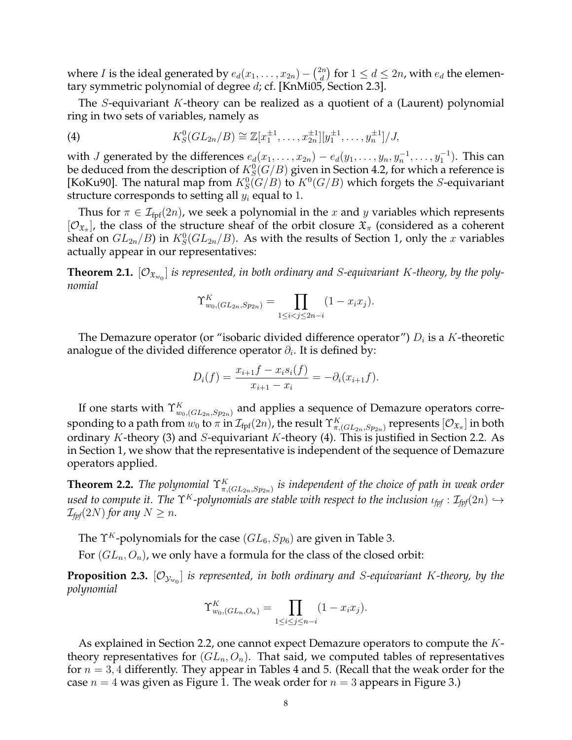where *I* is the ideal generated by  $e_d(x_1, \ldots, x_{2n}) - \binom{2n}{d}$  $\binom{dn}{d}$  for  $1 \leq d \leq 2n$ , with  $e_d$  the elementary symmetric polynomial of degree d; cf. [KnMi05, Section 2.3].

The S-equivariant K-theory can be realized as a quotient of a (Laurent) polynomial ring in two sets of variables, namely as

(4) 
$$
K_S^0(GL_{2n}/B) \cong \mathbb{Z}[x_1^{\pm 1}, \ldots, x_{2n}^{\pm 1}][y_1^{\pm 1}, \ldots, y_n^{\pm 1}]/J,
$$

with *J* generated by the differences  $e_d(x_1, \ldots, x_{2n}) - e_d(y_1, \ldots, y_n, y_n^{-1}, \ldots, y_1^{-1})$ . This can be deduced from the description of  $K^0_S(G/B)$  given in Section 4.2, for which a reference is [KoKu90]. The natural map from  $K_S^0(G/B)$  to  $K^0(G/B)$  which forgets the S-equivariant structure corresponds to setting all  $y_i$  equal to 1.

Thus for  $\pi \in \mathcal{I}_{\text{fpf}}(2n)$ , we seek a polynomial in the x and y variables which represents  $[O_{\mathfrak{X}_{\pi}}]$ , the class of the structure sheaf of the orbit closure  $\mathfrak{X}_{\pi}$  (considered as a coherent sheaf on  $GL_{2n}/B$ ) in  $K_S^0(GL_{2n}/B)$ . As with the results of Section 1, only the x variables actually appear in our representatives:

**Theorem 2.1.**  $[O_{\mathfrak{X}_{w_0}}]$  is represented, in both ordinary and S-equivariant K-theory, by the poly*nomial*

$$
\Upsilon_{w_0,(GL_{2n},Sp_{2n})}^K = \prod_{1 \le i < j \le 2n-i} (1 - x_i x_j).
$$

The Demazure operator (or "isobaric divided difference operator")  $D_i$  is a  $K$ -theoretic analogue of the divided difference operator  $\partial_i.$  It is defined by:

$$
D_i(f) = \frac{x_{i+1}f - x_i s_i(f)}{x_{i+1} - x_i} = -\partial_i(x_{i+1}f).
$$

If one starts with  $\Upsilon_{w_0,(GL_{2n},Sp_{2n})}^K$  and applies a sequence of Demazure operators corresponding to a path from  $w_0$  to  $\pi$  in  $\mathcal{I}_{\rm fpf}(2n)$ , the result  $\Upsilon^K_{\pi,(GL_{2n},Sp_{2n})}$  represents  $[\mathcal{O}_{\mathfrak{X}_{\pi}}]$  in both ordinary K-theory (3) and S-equivariant K-theory (4). This is justified in Section 2.2. As in Section 1, we show that the representative is independent of the sequence of Demazure operators applied.

**Theorem 2.2.** The polynomial  $\Upsilon^K_{\pi,(GL_{2n},Sp_{2n})}$  is independent of the choice of path in weak order *used to compute it. The*  $\Upsilon^K$ -polynomials are stable with respect to the inclusion  $\iota_{\text{tot}} : \mathcal{I}_{\text{tot}}(2n) \hookrightarrow$  $\mathcal{I}_{\text{fpr}}(2N)$  *for any*  $N \geq n$ *.* 

The  $\Upsilon^K$ -polynomials for the case ( $GL_6$ ,  $Sp_6$ ) are given in Table 3.

For  $(GL_n, O_n)$ , we only have a formula for the class of the closed orbit:

 ${\bf Proposition \ 2.3.} \ [\mathcal{O}_{\mathcal{Y}_{w_0}}]$  is represented, in both ordinary and  $S$ -equivariant  $K$ -theory, by the *polynomial*

$$
\Upsilon_{w_0,(GL_n,O_n)}^K = \prod_{1 \le i \le j \le n-i} (1 - x_i x_j).
$$

As explained in Section 2.2, one cannot expect Demazure operators to compute the Ktheory representatives for  $(GL_n, O_n)$ . That said, we computed tables of representatives for  $n = 3, 4$  differently. They appear in Tables 4 and 5. (Recall that the weak order for the case  $n = 4$  was given as Figure 1. The weak order for  $n = 3$  appears in Figure 3.)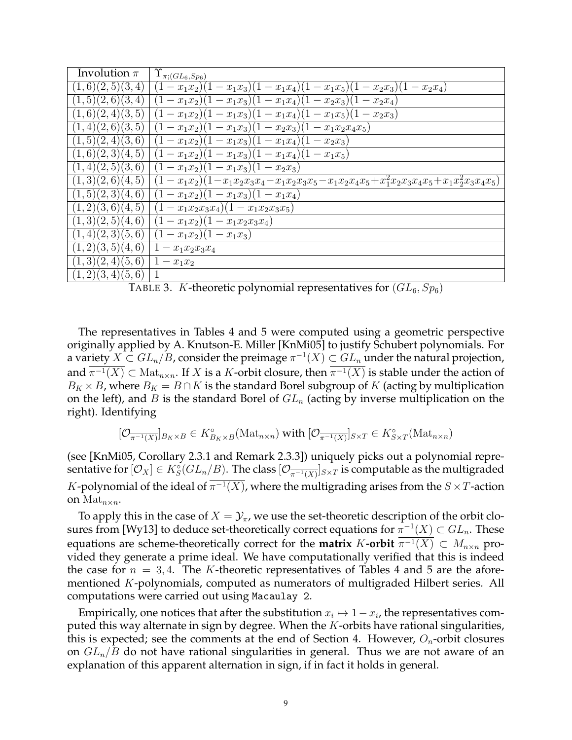| Involution $\pi$                     | $\Upsilon_{\pi;(GL_6,Sp_6)}$                                                                                 |
|--------------------------------------|--------------------------------------------------------------------------------------------------------------|
| (1,6)(2,5)(3,4)                      | $(1-x_1x_2)(1-x_1x_3)(1-x_1x_4)(1-x_1x_5)(1-x_2x_3)(1-x_2x_4)$                                               |
| (1,5)(2,6)(3,4)                      | $(1-x_1x_2)(1-x_1x_3)(1-x_1x_4)(1-x_2x_3)(1-x_2x_4)$                                                         |
| (1,6)(2,4)(3,5)                      | $(1-x_1x_2)(1-x_1x_3)(1-x_1x_4)(1-x_1x_5)(1-x_2x_3)$                                                         |
| (1,4)(2,6)(3,5)                      | $(1-x_1x_2)(1-x_1x_3)(1-x_2x_3)(1-x_1x_2x_4x_5)$                                                             |
| (1,5)(2,4)(3,6)                      | $(1-x_1x_2)(1-x_1x_3)(1-x_1x_4)(1-x_2x_3)$                                                                   |
|                                      | $(1,6)(2,3)(4,5)$ $(1-x_1x_2)(1-x_1x_3)(1-x_1x_4)(1-x_1x_5)$                                                 |
|                                      | $(1,4)(2,5)(3,6)$ $(1-x_1x_2)(1-x_1x_3)(1-x_2x_3)$                                                           |
|                                      | $(1,3)(2,6)(4,5)$ $(1-x_1x_2)(1-x_1x_2x_3x_4-x_1x_2x_3x_5-x_1x_2x_4x_5+x_1^2x_2x_3x_4x_5+x_1x_2^2x_3x_4x_5)$ |
|                                      | $(1,5)(2,3)(4,6)$ $(1-x_1x_2)(1-x_1x_3)(1-x_1x_4)$                                                           |
|                                      | $(1,2)(3,6)(4,5)$ $(1-x_1x_2x_3x_4)(1-x_1x_2x_3x_5)$                                                         |
|                                      | $(1,3)(2,5)(4,6)$ $(1-x_1x_2)(1-x_1x_2x_3x_4)$                                                               |
|                                      | $(1,4)(2,3)(5,6)$ $(1-x_1x_2)(1-x_1x_3)$                                                                     |
| $(1,2)(3,5)(4,6)$   $1-x_1x_2x_3x_4$ |                                                                                                              |
| $(1,3)(2,4)(5,6)$   $1-x_1x_2$       |                                                                                                              |
| (1,2)(3,4)(5,6)                      |                                                                                                              |

TABLE 3. K-theoretic polynomial representatives for  $(GL_6, Sp_6)$ 

The representatives in Tables 4 and 5 were computed using a geometric perspective originally applied by A. Knutson-E. Miller [KnMi05] to justify Schubert polynomials. For a variety  $X\subset GL_n/B$ , consider the preimage  $\pi^{-1}(X)\subset GL_n$  under the natural projection, and  $\pi^{-1}(X) \subset \text{Mat}_{n \times n}$ . If X is a K-orbit closure, then  $\pi^{-1}(X)$  is stable under the action of  $B_K \times B$ , where  $B_K = B \cap K$  is the standard Borel subgroup of K (acting by multiplication on the left), and B is the standard Borel of  $GL_n$  (acting by inverse multiplication on the right). Identifying

$$
[\mathcal{O}_{\overline{\pi^{-1}(X)}}]_{B_K \times B} \in K_{B_K \times B}^{\circ}(\mathrm{Mat}_{n \times n}) \text{ with } [\mathcal{O}_{\overline{\pi^{-1}(X)}}]_{S \times T} \in K_{S \times T}^{\circ}(\mathrm{Mat}_{n \times n})
$$

(see [KnMi05, Corollary 2.3.1 and Remark 2.3.3]) uniquely picks out a polynomial representative for  $[\mathcal{O}_X]\in K_S^\circ(GL_n/B).$  The class  $[\mathcal{O}_{\overline{\pi^{-1}(X)}}]_{S\times T}$  is computable as the multigraded K-polynomial of the ideal of  $\pi^{-1}(X)$ , where the multigrading arises from the  $S \times T$ -action on  $\mathrm{Mat}_{n\times n}$ .

To apply this in the case of  $X = \mathcal{Y}_\pi$ , we use the set-theoretic description of the orbit closures from [Wy13] to deduce set-theoretically correct equations for  $\pi^{-1}(X)\subset GL_n.$  These equations are scheme-theoretically correct for the **matrix** K-orbit  $\pi^{-1}(X) \subset M_{n \times n}$  provided they generate a prime ideal. We have computationally verified that this is indeed the case for  $n = 3, 4$ . The K-theoretic representatives of Tables 4 and 5 are the aforementioned K-polynomials, computed as numerators of multigraded Hilbert series. All computations were carried out using Macaulay 2.

Empirically, one notices that after the substitution  $x_i \mapsto 1 - x_i$ , the representatives computed this way alternate in sign by degree. When the  $K$ -orbits have rational singularities, this is expected; see the comments at the end of Section 4. However,  $O_n$ -orbit closures on  $GL_n/B$  do not have rational singularities in general. Thus we are not aware of an explanation of this apparent alternation in sign, if in fact it holds in general.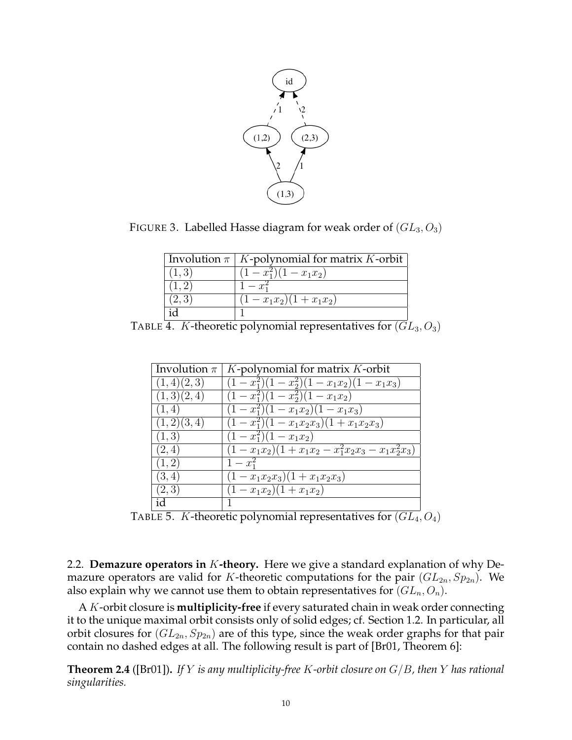

FIGURE 3. Labelled Hasse diagram for weak order of  $(GL_3, O_3)$ 

|        | Involution $\pi$   K-polynomial for matrix K-orbit |
|--------|----------------------------------------------------|
| (1, 3) | $\sqrt{(1-x_1^2)(1-x_1x_2)}$                       |
|        | $1 - x_1^2$                                        |
| (2,3)  | $(1-x_1x_2)(1+x_1x_2)$                             |
|        |                                                    |

TABLE 4. K-theoretic polynomial representatives for  $(GL_3, O_3)$ 

| Involution $\pi$ | $K$ -polynomial for matrix $K$ -orbit                                  |
|------------------|------------------------------------------------------------------------|
| (1,4)(2,3)       | $\sqrt{(1-x_1^2)(1-x_2^2)(1-x_1x_2)(1-x_1x_3)}$                        |
| (1,3)(2,4)       | $\frac{(1-x_1^2)(1-x_2^2)(1-x_1x_2)}{x_1x_2(x_2)}$                     |
| (1, 4)           | $(1-x_1^2)(1-x_1x_2)(1-x_1x_3)$                                        |
| (1,2)(3,4)       | $\frac{(1-x_1^2)(1-x_1x_2x_3)(1+x_1x_2x_3)}{x_1x_2x_3(x_1+x_1x_2x_3)}$ |
| (1,3)            | $\overline{(1-x_1^2)(1-x_1x_2)}$                                       |
| (2,4)            | $(1-x_1x_2)(1+x_1x_2-x_1^2x_2x_3-x_1x_2^2x_3)$                         |
| (1, 2)           | $1-x_1^2$                                                              |
| (3, 4)           | $(1-x_1x_2x_3)(1+x_1x_2x_3)$                                           |
| (2,3)            | $(1-x_1x_2)(1+x_1x_2)$                                                 |
| id               |                                                                        |

TABLE 5. K-theoretic polynomial representatives for  $(\overline{GL_4}, O_4)$ 

2.2. **Demazure operators in** K**-theory.** Here we give a standard explanation of why Demazure operators are valid for K-theoretic computations for the pair  $(GL_{2n}, Sp_{2n})$ . We also explain why we cannot use them to obtain representatives for  $(GL_n, O_n)$ .

A K-orbit closure is **multiplicity-free** if every saturated chain in weak order connecting it to the unique maximal orbit consists only of solid edges; cf. Section 1.2. In particular, all orbit closures for  $(GL_{2n}, Sp_{2n})$  are of this type, since the weak order graphs for that pair contain no dashed edges at all. The following result is part of [Br01, Theorem 6]:

**Theorem 2.4** ([Br01])**.** *If* Y *is any multiplicity-free* K*-orbit closure on* G/B*, then* Y *has rational singularities.*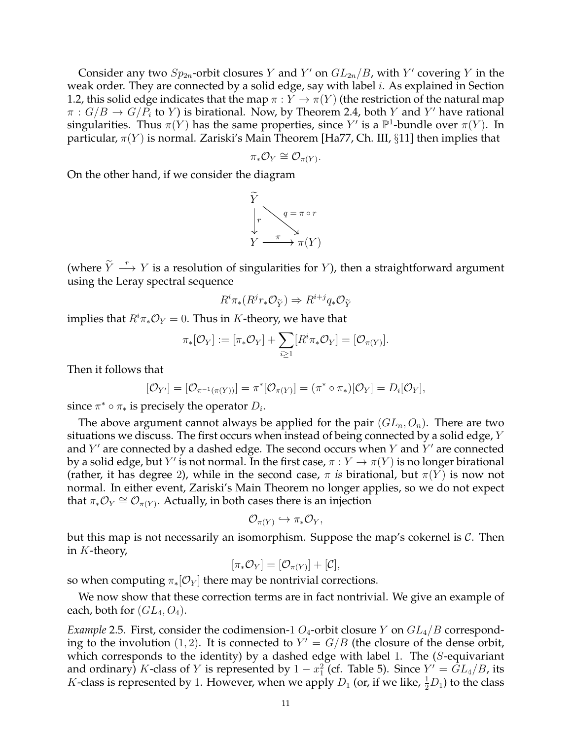Consider any two  $Sp_{2n}$ -orbit closures Y and Y' on  $GL_{2n}/B$ , with Y' covering Y in the weak order. They are connected by a solid edge, say with label  $i$ . As explained in Section 1.2, this solid edge indicates that the map  $\pi : Y \to \pi(Y)$  (the restriction of the natural map  $\pi: G/B \to G/P_i$  to Y) is birational. Now, by Theorem 2.4, both Y and Y' have rational singularities. Thus  $\pi(Y)$  has the same properties, since  $Y'$  is a  $\mathbb{P}^1$ -bundle over  $\pi(Y)$ . In particular,  $\pi(Y)$  is normal. Zariski's Main Theorem [Ha77, Ch. III, §11] then implies that

$$
\pi_* \mathcal{O}_Y \cong \mathcal{O}_{\pi(Y)}.
$$

On the other hand, if we consider the diagram



(where  $\widetilde{Y} \stackrel{r}{\longrightarrow} Y$  is a resolution of singularities for Y), then a straightforward argument using the Leray spectral sequence

$$
R^i \pi_*(R^j r_* \mathcal{O}_{\widetilde{Y}}) \Rightarrow R^{i+j} q_* \mathcal{O}_{\widetilde{Y}}
$$

implies that  $R^i \pi_* \mathcal{O}_Y = 0$ . Thus in K-theory, we have that

$$
\pi_*[\mathcal{O}_Y] := [\pi_*\mathcal{O}_Y] + \sum_{i \geq 1} [R^i \pi_* \mathcal{O}_Y] = [\mathcal{O}_{\pi(Y)}].
$$

Then it follows that

$$
[\mathcal{O}_{Y'}] = [\mathcal{O}_{\pi^{-1}(\pi(Y))}] = \pi^*[\mathcal{O}_{\pi(Y)}] = (\pi^* \circ \pi_*)[\mathcal{O}_Y] = D_i[\mathcal{O}_Y],
$$

since  $\pi^* \circ \pi_*$  is precisely the operator  $D_i$ .

The above argument cannot always be applied for the pair  $(GL_n, O_n)$ . There are two situations we discuss. The first occurs when instead of being connected by a solid edge, Y and  $Y'$  are connected by a dashed edge. The second occurs when  $Y$  and  $\overline{Y'}$  are connected by a solid edge, but  $Y'$  is not normal. In the first case,  $\pi:Y\to \pi(Y)$  is no longer birational (rather, it has degree 2), while in the second case,  $\pi$  *is* birational, but  $\pi(Y)$  is now not normal. In either event, Zariski's Main Theorem no longer applies, so we do not expect that  $\pi_* \mathcal{O}_Y \cong \mathcal{O}_{\pi(Y)}$ . Actually, in both cases there is an injection

$$
\mathcal{O}_{\pi(Y)} \hookrightarrow \pi_* \mathcal{O}_Y,
$$

but this map is not necessarily an isomorphism. Suppose the map's cokernel is  $\mathcal{C}$ . Then in K-theory,

$$
[\pi_* \mathcal{O}_Y] = [\mathcal{O}_{\pi(Y)}] + [\mathcal{C}],
$$

so when computing  $\pi_*[O_Y]$  there may be nontrivial corrections.

We now show that these correction terms are in fact nontrivial. We give an example of each, both for  $(GL_4, O_4)$ .

*Example* 2.5*.* First, consider the codimension-1  $O_4$ -orbit closure Y on  $GL_4/B$  corresponding to the involution (1, 2). It is connected to  $Y' = G/B$  (the closure of the dense orbit, which corresponds to the identity) by a dashed edge with label 1. The  $(S$ -equivariant and ordinary) K-class of Y is represented by  $1 - x_1^2$  (cf. Table 5). Since  $Y' = \overline{G}L_4/B$ , its *K*-class is represented by 1. However, when we apply  $D_1$  (or, if we like,  $\frac{1}{2}D_1$ ) to the class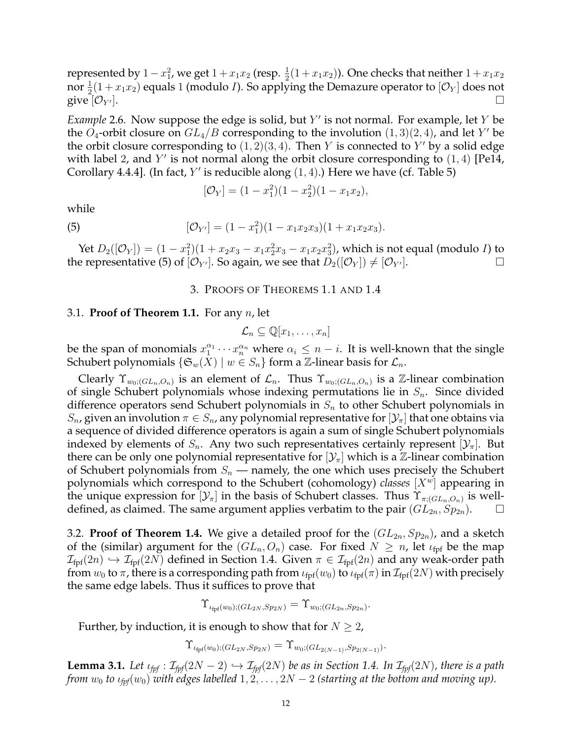represented by  $1-x_1^2$ , we get  $1+x_1x_2$  (resp.  $\frac{1}{2}(1+x_1x_2)$ ). One checks that neither  $1+x_1x_2$ nor  $\frac{1}{2}(1+x_1x_2)$  equals 1 (modulo *I*). So applying the Demazure operator to  $[\mathcal{O}_Y]$  does not give  $[O_{Y'}].$ 

*Example* 2.6. Now suppose the edge is solid, but Y' is not normal. For example, let Y be the  $O_4$ -orbit closure on  $GL_4/B$  corresponding to the involution  $(1, 3)(2, 4)$ , and let Y' be the orbit closure corresponding to  $(1, 2)(3, 4)$ . Then Y is connected to Y' by a solid edge with label 2, and Y' is not normal along the orbit closure corresponding to  $(1, 4)$  [Pe14, Corollary 4.4.4]. (In fact,  $Y'$  is reducible along  $(1, 4)$ .) Here we have (cf. Table 5)

$$
[\mathcal{O}_Y] = (1 - x_1^2)(1 - x_2^2)(1 - x_1x_2),
$$

while

(5) 
$$
[\mathcal{O}_{Y'}] = (1 - x_1^2)(1 - x_1x_2x_3)(1 + x_1x_2x_3).
$$

Yet  $D_2([\mathcal{O}_Y]) = (1-x_1^2)(1+x_2x_3-x_1x_2^2x_3-x_1x_2x_3^2)$ , which is not equal (modulo *I*) to the representative (5) of  $[O_{Y'}]$ . So again, we see that  $D_2([O_Y]) \neq [O_{Y'}]$ .

## 3. PROOFS OF THEOREMS 1.1 AND 1.4

#### 3.1. **Proof of Theorem 1.1.** For any n, let

$$
\mathcal{L}_n \subseteq \mathbb{Q}[x_1,\ldots,x_n]
$$

be the span of monomials  $x_1^{\alpha_1} \cdots x_n^{\alpha_n}$  where  $\alpha_i \leq n - i$ . It is well-known that the single Schubert polynomials  $\{\mathfrak{S}_w(X) \mid w \in S_n\}$  form a Z-linear basis for  $\mathcal{L}_n$ .

Clearly  $\Upsilon_{w_0;(GL_n,O_n)}$  is an element of  $\mathcal{L}_n$ . Thus  $\Upsilon_{w_0;(GL_n,O_n)}$  is a Z-linear combination of single Schubert polynomials whose indexing permutations lie in  $S_n$ . Since divided difference operators send Schubert polynomials in  $S_n$  to other Schubert polynomials in  $S_n$ , given an involution  $\pi \in S_n$ , any polynomial representative for  $[\mathcal{Y}_\pi]$  that one obtains via a sequence of divided difference operators is again a sum of single Schubert polynomials indexed by elements of  $S_n$ . Any two such representatives certainly represent  $[\mathcal{Y}_\pi]$ . But there can be only one polynomial representative for  $[\mathcal{Y}_\pi]$  which is a Z-linear combination of Schubert polynomials from  $S_n$  — namely, the one which uses precisely the Schubert polynomials which correspond to the Schubert (cohomology) *classes*  $[X^w]$  appearing in the unique expression for  $[\mathcal{Y}_\pi]$  in the basis of Schubert classes. Thus  $\Upsilon_{\pi;(GL_n,O_n)}$  is welldefined, as claimed. The same argument applies verbatim to the pair  $(GL_{2n}, Sp_{2n}).$ 

3.2. **Proof of Theorem 1.4.** We give a detailed proof for the  $(GL_{2n}, Sp_{2n})$ , and a sketch of the (similar) argument for the  $(GL_n, O_n)$  case. For fixed  $N \geq n$ , let  $\iota_{\text{fpf}}$  be the map  $\mathcal{I}_{\text{fpf}}(2n) \hookrightarrow \mathcal{I}_{\text{fpf}}(2N)$  defined in Section 1.4. Given  $\pi \in \mathcal{I}_{\text{fpf}}(2n)$  and any weak-order path from  $w_0$  to  $\pi$ , there is a corresponding path from  $\iota_{\text{fpf}}(w_0)$  to  $\iota_{\text{fpf}}(\pi)$  in  $\mathcal{I}_{\text{fpf}}(2N)$  with precisely the same edge labels. Thus it suffices to prove that

$$
\Upsilon_{\iota_{\text{fpf}}(w_0);(GL_{2N},Sp_{2N})} = \Upsilon_{w_0;(GL_{2n},Sp_{2n})}.
$$

Further, by induction, it is enough to show that for  $N \geq 2$ ,

$$
\Upsilon_{\iota_{\text{fpf}}(w_0);(GL_{2N},Sp_{2N})} = \Upsilon_{w_0;(GL_{2(N-1)},Sp_{2(N-1)})}.
$$

**Lemma 3.1.** Let  $\iota_{\text{fpf}}$  :  $\mathcal{I}_{\text{fpf}}(2N-2) \hookrightarrow \mathcal{I}_{\text{fpf}}(2N)$  be as in Section 1.4. In  $\mathcal{I}_{\text{fpf}}(2N)$ , there is a path *from*  $w_0$  *to*  $\iota_{\text{fpf}}(w_0)$  *with edges labelled*  $1, 2, \ldots, 2N - 2$  *(starting at the bottom and moving up).*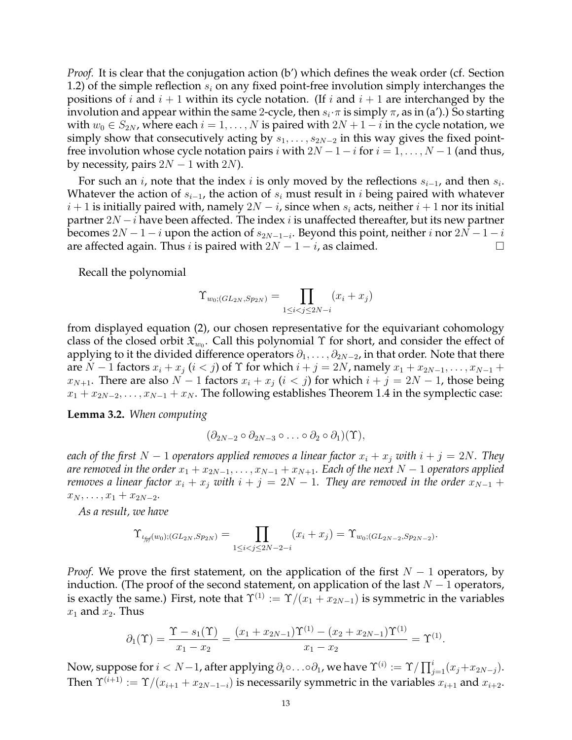*Proof.* It is clear that the conjugation action (b') which defines the weak order (cf. Section 1.2) of the simple reflection  $s_i$  on any fixed point-free involution simply interchanges the positions of *i* and  $i + 1$  within its cycle notation. (If *i* and  $i + 1$  are interchanged by the involution and appear within the same 2-cycle, then  $s_i\cdot\pi$  is simply  $\pi$ , as in (a').) So starting with  $w_0 \in S_{2N}$ , where each  $i = 1, \dots, N$  is paired with  $2N + 1 - i$  in the cycle notation, we simply show that consecutively acting by  $s_1, \ldots, s_{2N-2}$  in this way gives the fixed pointfree involution whose cycle notation pairs i with  $2N - 1 - i$  for  $i = 1, ..., N - 1$  (and thus, by necessity, pairs  $2N - 1$  with  $2N$ ).

For such an *i*, note that the index *i* is only moved by the reflections  $s_{i-1}$ , and then  $s_i$ . Whatever the action of  $s_{i-1}$ , the action of  $s_i$  must result in i being paired with whatever  $i + 1$  is initially paired with, namely  $2N - i$ , since when  $s_i$  acts, neither  $i + 1$  nor its initial partner  $2N - i$  have been affected. The index i is unaffected thereafter, but its new partner becomes  $2N - 1 - i$  upon the action of  $s_{2N-1-i}$ . Beyond this point, neither  $i$  nor  $2N - 1 - i$ are affected again. Thus *i* is paired with  $2N - 1 - i$ , as claimed.

Recall the polynomial

$$
\Upsilon_{w_0; (GL_{2N}, Sp_{2N})} = \prod_{1 \le i < j \le 2N - i} (x_i + x_j)
$$

from displayed equation (2), our chosen representative for the equivariant cohomology class of the closed orbit  $\mathfrak{X}_{w_0}.$  Call this polynomial  $\Upsilon$  for short, and consider the effect of applying to it the divided difference operators  $\partial_1, \ldots, \partial_{2N-2}$ , in that order. Note that there are  $N-1$  factors  $x_i + x_j$   $(i < j)$  of  $\Upsilon$  for which  $i + j = 2N$ , namely  $x_1 + x_{2N-1}, \ldots, x_{N-1} +$  $x_{N+1}$ . There are also  $N-1$  factors  $x_i + x_j$   $(i < j)$  for which  $i + j = 2N - 1$ , those being  $x_1 + x_{2N-2}, \ldots, x_{N-1} + x_N$ . The following establishes Theorem 1.4 in the symplectic case:

**Lemma 3.2.** *When computing*

$$
(\partial_{2N-2}\circ\partial_{2N-3}\circ\ldots\circ\partial_2\circ\partial_1)(\Upsilon),
$$

*each of the first*  $N - 1$  *operators applied removes a linear factor*  $x_i + x_j$  *with*  $i + j = 2N$ *. They are removed in the order*  $x_1 + x_{2N-1}, \ldots, x_{N-1} + x_{N+1}$ . Each of the next N – 1 operators applied *removes a linear factor*  $x_i + x_j$  *with*  $i + j = 2N - 1$ *. They are removed in the order*  $x_{N-1}$  +  $x_N, \ldots, x_1 + x_{2N-2}.$ 

*As a result, we have*

$$
\Upsilon_{\iota_{f\!f\!f}(w_0);(GL_{2N},Sp_{2N})} = \prod_{1 \leq i < j \leq 2N-2-i} (x_i + x_j) = \Upsilon_{w_0;(GL_{2N-2},Sp_{2N-2})}.
$$

*Proof.* We prove the first statement, on the application of the first  $N - 1$  operators, by induction. (The proof of the second statement, on application of the last  $N - 1$  operators, is exactly the same.) First, note that  $\Upsilon^{(1)} := \Upsilon/(x_1 + x_{2N-1})$  is symmetric in the variables  $x_1$  and  $x_2$ . Thus

$$
\partial_1(\Upsilon) = \frac{\Upsilon - s_1(\Upsilon)}{x_1 - x_2} = \frac{(x_1 + x_{2N-1})\Upsilon^{(1)} - (x_2 + x_{2N-1})\Upsilon^{(1)}}{x_1 - x_2} = \Upsilon^{(1)}.
$$

Now, suppose for  $i < N-1$ , after applying  $\partial_i \circ \ldots \circ \partial_1$ , we have  $\Upsilon^{(i)} := \Upsilon / \prod_{j=1}^i (x_j + x_{2N-j}).$ Then  $\Upsilon^{(i+1)} := \Upsilon/(x_{i+1} + x_{2N-1-i})$  is necessarily symmetric in the variables  $x_{i+1}$  and  $x_{i+2}$ .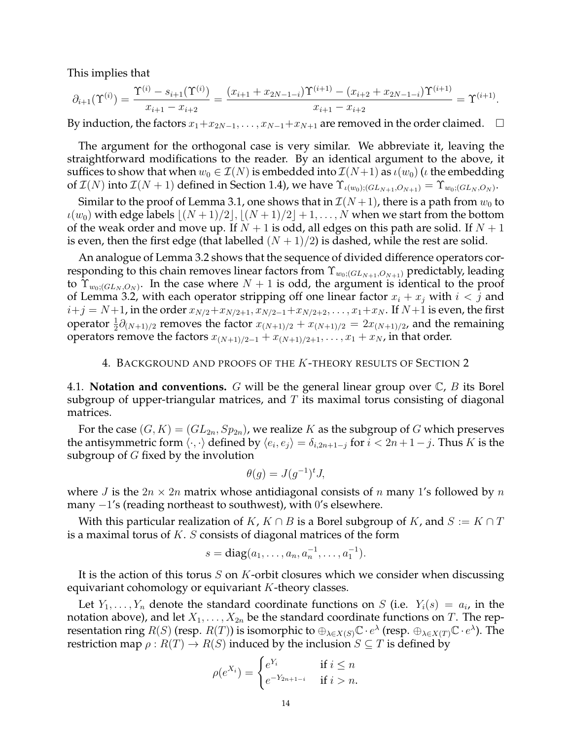This implies that

$$
\partial_{i+1}(\Upsilon^{(i)}) = \frac{\Upsilon^{(i)} - s_{i+1}(\Upsilon^{(i)})}{x_{i+1} - x_{i+2}} = \frac{(x_{i+1} + x_{2N-1-i})\Upsilon^{(i+1)} - (x_{i+2} + x_{2N-1-i})\Upsilon^{(i+1)}}{x_{i+1} - x_{i+2}} = \Upsilon^{(i+1)}.
$$

By induction, the factors  $x_1+x_{2N-1}, \ldots, x_{N-1}+x_{N+1}$  are removed in the order claimed.  $\Box$ 

The argument for the orthogonal case is very similar. We abbreviate it, leaving the straightforward modifications to the reader. By an identical argument to the above, it suffices to show that when  $w_0 \in \mathcal{I}(N)$  is embedded into  $\mathcal{I}(N+1)$  as  $\iota(w_0)$  ( $\iota$  the embedding of  $\mathcal{I}(N)$  into  $\mathcal{I}(N+1)$  defined in Section 1.4), we have  $\Upsilon_{\iota(w_0);(GL_{N+1},O_{N+1})}=\Upsilon_{w_0;(GL_N,O_N)}.$ 

Similar to the proof of Lemma 3.1, one shows that in  $\mathcal{I}(N+1)$ , there is a path from  $w_0$  to  $\iota(w_0)$  with edge labels  $|(N + 1)/2|, |(N + 1)/2| + 1, \ldots, N$  when we start from the bottom of the weak order and move up. If  $N + 1$  is odd, all edges on this path are solid. If  $N + 1$ is even, then the first edge (that labelled  $(N + 1)/2$ ) is dashed, while the rest are solid.

An analogue of Lemma 3.2 shows that the sequence of divided difference operators corresponding to this chain removes linear factors from  $\Upsilon_{w_0; (GL_{N+1},O_{N+1})}$  predictably, leading to  $\Upsilon_{w_0; (GL_N, O_N)}$ . In the case where  $N+1$  is odd, the argument is identical to the proof of Lemma 3.2, with each operator stripping off one linear factor  $x_i + x_j$  with  $i < j$  and  $i+j = N+1$ , in the order  $x_{N/2}+x_{N/2+1}, x_{N/2-1}+x_{N/2+2}, \ldots, x_1+x_N$ . If  $N+1$  is even, the first operator  $\frac{1}{2}\partial_{(N+1)/2}$  removes the factor  $x_{(N+1)/2} + x_{(N+1)/2} = 2x_{(N+1)/2}$ , and the remaining operators remove the factors  $x_{(N+1)/2-1} + x_{(N+1)/2+1}, \ldots, x_1 + x_N$ , in that order.

#### 4. BACKGROUND AND PROOFS OF THE K-THEORY RESULTS OF SECTION 2

4.1. **Notation and conventions.** G will be the general linear group over C, B its Borel subgroup of upper-triangular matrices, and  $T$  its maximal torus consisting of diagonal matrices.

For the case  $(G, K) = (GL_{2n}, Sp_{2n})$ , we realize K as the subgroup of G which preserves the antisymmetric form  $\langle\cdot,\cdot\rangle$  defined by  $\langle e_i,e_j\rangle=\delta_{i,2n+1-j}$  for  $i< 2n+1-j.$  Thus  $K$  is the subgroup of  $G$  fixed by the involution

$$
\theta(g) = J(g^{-1})^t J,
$$

where *J* is the  $2n \times 2n$  matrix whose antidiagonal consists of *n* many 1's followed by *n* many  $-1$ 's (reading northeast to southwest), with 0's elsewhere.

With this particular realization of K,  $K \cap B$  is a Borel subgroup of K, and  $S := K \cap T$ is a maximal torus of  $K. S$  consists of diagonal matrices of the form

$$
s = diag(a_1, \ldots, a_n, a_n^{-1}, \ldots, a_1^{-1}).
$$

It is the action of this torus  $S$  on  $K$ -orbit closures which we consider when discussing equivariant cohomology or equivariant K-theory classes.

Let  $Y_1, \ldots, Y_n$  denote the standard coordinate functions on S (i.e.  $Y_i(s) = a_i$ , in the notation above), and let  $X_1, \ldots, X_{2n}$  be the standard coordinate functions on T. The representation ring  $R(S)$  (resp.  $R(T)$ ) is isomorphic to  $\oplus_{\lambda\in X(S)}\mathbb C\cdot e^\lambda$  (resp.  $\oplus_{\lambda\in X(T)}\mathbb C\cdot e^\lambda$ ). The restriction map  $\rho: R(T) \to R(S)$  induced by the inclusion  $S \subseteq T$  is defined by

$$
\rho(e^{X_i}) = \begin{cases} e^{Y_i} & \text{if } i \leq n \\ e^{-Y_{2n+1-i}} & \text{if } i > n. \end{cases}
$$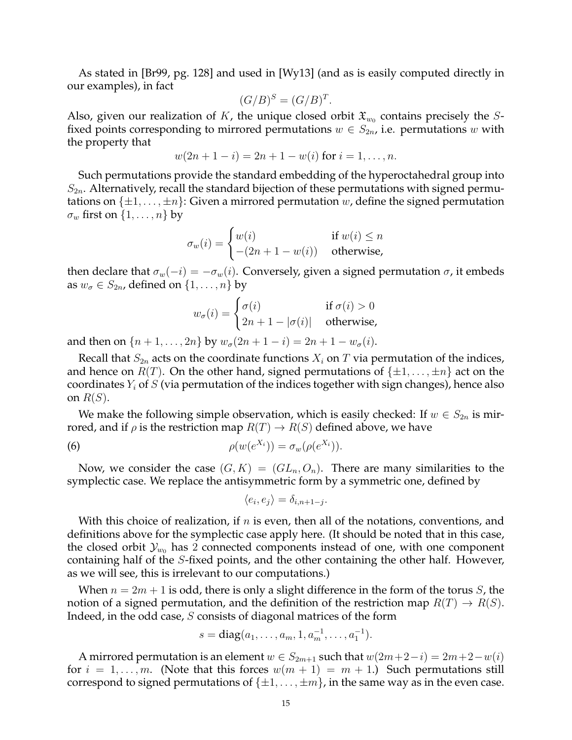As stated in [Br99, pg. 128] and used in [Wy13] (and as is easily computed directly in our examples), in fact

$$
(G/B)^S = (G/B)^T.
$$

Also, given our realization of K, the unique closed orbit  $\mathfrak{X}_{w_0}$  contains precisely the Sfixed points corresponding to mirrored permutations  $w \in S_{2n}$ , i.e. permutations w with the property that

$$
w(2n + 1 - i) = 2n + 1 - w(i)
$$
 for  $i = 1, ..., n$ .

Such permutations provide the standard embedding of the hyperoctahedral group into  $S_{2n}$ . Alternatively, recall the standard bijection of these permutations with signed permutations on  $\{\pm 1, \ldots, \pm n\}$ : Given a mirrored permutation w, define the signed permutation  $\sigma_w$  first on  $\{1, \ldots, n\}$  by

$$
\sigma_w(i) = \begin{cases} w(i) & \text{if } w(i) \le n \\ -(2n + 1 - w(i)) & \text{otherwise,} \end{cases}
$$

then declare that  $\sigma_w(-i) = -\sigma_w(i)$ . Conversely, given a signed permutation  $\sigma$ , it embeds as  $w_{\sigma} \in S_{2n}$ , defined on  $\{1, \ldots, n\}$  by

$$
w_{\sigma}(i) = \begin{cases} \sigma(i) & \text{if } \sigma(i) > 0\\ 2n + 1 - |\sigma(i)| & \text{otherwise,} \end{cases}
$$

and then on  $\{n+1, \ldots, 2n\}$  by  $w_{\sigma}(2n+1-i) = 2n+1-w_{\sigma}(i)$ .

Recall that  $S_{2n}$  acts on the coordinate functions  $X_i$  on T via permutation of the indices, and hence on  $R(T)$ . On the other hand, signed permutations of  $\{\pm 1, \ldots, \pm n\}$  act on the coordinates  $Y_i$  of S (via permutation of the indices together with sign changes), hence also on  $R(S)$ .

We make the following simple observation, which is easily checked: If  $w \in S_{2n}$  is mirrored, and if  $\rho$  is the restriction map  $R(T) \rightarrow R(S)$  defined above, we have

(6) 
$$
\rho(w(e^{X_i})) = \sigma_w(\rho(e^{X_i})).
$$

Now, we consider the case  $(G, K) = (GL_n, O_n)$ . There are many similarities to the symplectic case. We replace the antisymmetric form by a symmetric one, defined by

$$
\langle e_i, e_j \rangle = \delta_{i,n+1-j}.
$$

With this choice of realization, if  $n$  is even, then all of the notations, conventions, and definitions above for the symplectic case apply here. (It should be noted that in this case, the closed orbit  $\mathcal{Y}_{w_0}$  has 2 connected components instead of one, with one component containing half of the S-fixed points, and the other containing the other half. However, as we will see, this is irrelevant to our computations.)

When  $n = 2m + 1$  is odd, there is only a slight difference in the form of the torus S, the notion of a signed permutation, and the definition of the restriction map  $R(T) \rightarrow R(S)$ . Indeed, in the odd case, S consists of diagonal matrices of the form

$$
s = diag(a_1, \ldots, a_m, 1, a_m^{-1}, \ldots, a_1^{-1}).
$$

A mirrored permutation is an element  $w \in S_{2m+1}$  such that  $w(2m+2-i) = 2m+2-w(i)$ for  $i = 1, \ldots, m$ . (Note that this forces  $w(m + 1) = m + 1$ .) Such permutations still correspond to signed permutations of  $\{\pm 1, \ldots, \pm m\}$ , in the same way as in the even case.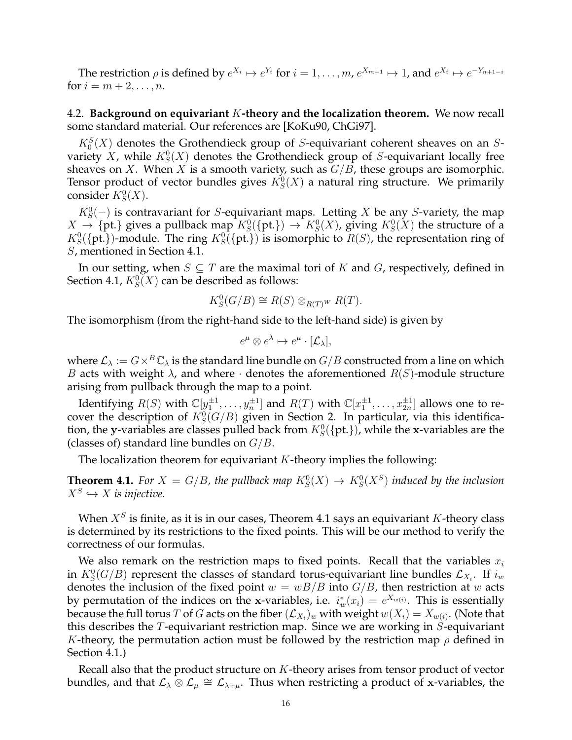The restriction  $\rho$  is defined by  $e^{X_i} \mapsto e^{Y_i}$  for  $i = 1, \ldots, m$ ,  $e^{X_{m+1}} \mapsto 1$ , and  $e^{X_i} \mapsto e^{-Y_{n+1-i}}$ for  $i = m + 2, ..., n$ .

4.2. **Background on equivariant** K**-theory and the localization theorem.** We now recall some standard material. Our references are [KoKu90, ChGi97].

 $K_0<sup>S</sup>(X)$  denotes the Grothendieck group of S-equivariant coherent sheaves on an Svariety X, while  $K_S^0(X)$  denotes the Grothendieck group of S-equivariant locally free sheaves on X. When X is a smooth variety, such as  $G/B$ , these groups are isomorphic. Tensor product of vector bundles gives  $K_S^0(X)$  a natural ring structure. We primarily consider  $K_S^0(X)$ .

 $K_S^0(-)$  is contravariant for S-equivariant maps. Letting X be any S-variety, the map  $X \to \{\text{pt.}\}\$  gives a pullback map  $K^0_S(\{\text{pt.}\}) \to K^0_S(X)$ , giving  $K^0_S(X)$  the structure of a  $K_S^0({\{pt.}\})$ -module. The ring  $K_S^0({\{pt.}\})$  is isomorphic to  $R(S)$ , the representation ring of S, mentioned in Section 4.1.

In our setting, when  $S \subseteq T$  are the maximal tori of K and G, respectively, defined in Section 4.1,  $K^0_S(X)$  can be described as follows:

$$
K_S^0(G/B) \cong R(S) \otimes_{R(T)^W} R(T).
$$

The isomorphism (from the right-hand side to the left-hand side) is given by

$$
e^{\mu} \otimes e^{\lambda} \mapsto e^{\mu} \cdot [\mathcal{L}_{\lambda}],
$$

where  $\mathcal{L}_{\lambda} := G \times^B \mathbb{C}_{\lambda}$  is the standard line bundle on  $G/B$  constructed from a line on which B acts with weight  $\lambda$ , and where  $\cdot$  denotes the aforementioned  $R(S)$ -module structure arising from pullback through the map to a point.

Identifying  $R(S)$  with  $\mathbb{C}[y_1^{\pm 1},\ldots,y_n^{\pm 1}]$  and  $R(T)$  with  $\mathbb{C}[x_1^{\pm 1},\ldots,x_{2n}^{\pm 1}]$  allows one to recover the description of  $K_S^0(G/B)$  given in Section 2. In particular, via this identification, the y-variables are classes pulled back from  $K_S^0({\rm\{pt.\}})$ , while the x-variables are the (classes of) standard line bundles on  $G/B$ .

The localization theorem for equivariant  $K$ -theory implies the following:

**Theorem 4.1.** For  $X = G/B$ , the pullback map  $K_S^0(X) \to K_S^0(X^S)$  induced by the inclusion  $X^S \hookrightarrow X$  is injective.

When  $X^S$  is finite, as it is in our cases, Theorem 4.1 says an equivariant K-theory class is determined by its restrictions to the fixed points. This will be our method to verify the correctness of our formulas.

We also remark on the restriction maps to fixed points. Recall that the variables  $x_i$ in  $K^0_S(G/B)$  represent the classes of standard torus-equivariant line bundles  $\mathcal{L}_{X_i}$ . If  $i_w$ denotes the inclusion of the fixed point  $w = wB/B$  into  $G/B$ , then restriction at w acts by permutation of the indices on the x-variables, i.e.  $i_w^*(x_i) = e^{X_{w(i)}}$ . This is essentially because the full torus  $T$  of  $G$  acts on the fiber  $(\mathcal{L}_{X_i})_w$  with weight  $w(X_i) = X_{w(i)}.$  (Note that this describes the  $T$ -equivariant restriction map. Since we are working in  $S$ -equivariant K-theory, the permutation action must be followed by the restriction map  $\rho$  defined in Section 4.1.)

Recall also that the product structure on K-theory arises from tensor product of vector bundles, and that  $\mathcal{L}_\lambda \overset{\bullet}{\otimes} \mathcal{L}_\mu \cong \mathcal{L}_{\lambda+\mu}$ . Thus when restricting a product of x-variables, the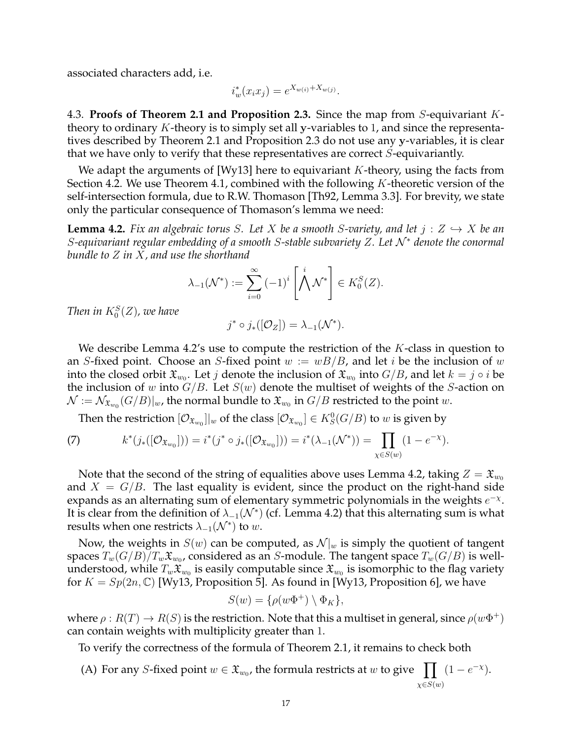associated characters add, i.e.

$$
i_w^*(x_i x_j) = e^{X_{w(i)} + X_{w(j)}}.
$$

4.3. **Proofs of Theorem 2.1 and Proposition 2.3.** Since the map from S-equivariant Ktheory to ordinary K-theory is to simply set all y-variables to 1, and since the representatives described by Theorem 2.1 and Proposition 2.3 do not use any y-variables, it is clear that we have only to verify that these representatives are correct S-equivariantly.

We adapt the arguments of [Wy13] here to equivariant  $K$ -theory, using the facts from Section 4.2. We use Theorem 4.1, combined with the following  $K$ -theoretic version of the self-intersection formula, due to R.W. Thomason [Th92, Lemma 3.3]. For brevity, we state only the particular consequence of Thomason's lemma we need:

**Lemma 4.2.** Fix an algebraic torus S. Let X be a smooth S-variety, and let  $j: Z \hookrightarrow X$  be an S*-equivariant regular embedding of a smooth* S*-stable subvariety* Z*. Let* N <sup>∗</sup> *denote the conormal bundle to* Z *in* X*, and use the shorthand*

$$
\lambda_{-1}(\mathcal{N}^*) := \sum_{i=0}^{\infty} (-1)^i \left[ \bigwedge^i \mathcal{N}^* \right] \in K_0^S(Z).
$$

Then in  $K_0^S(Z)$ , we have

$$
j^* \circ j_*([\mathcal{O}_Z]) = \lambda_{-1}(\mathcal{N}^*).
$$

We describe Lemma 4.2's use to compute the restriction of the  $K$ -class in question to an *S*-fixed point. Choose an *S*-fixed point  $w := wB/B$ , and let *i* be the inclusion of w into the closed orbit  $\mathfrak{X}_{w_0}.$  Let  $j$  denote the inclusion of  $\mathfrak{X}_{w_0}$  into  $G/B$ , and let  $k=j\circ i$  be the inclusion of w into  $G/B$ . Let  $S(w)$  denote the multiset of weights of the S-action on  $\mathcal{N}:=\mathcal{N}_{\mathfrak{X}_{w_0}}(G/B)|_w$ , the normal bundle to  $\mathfrak{X}_{w_0}$  in  $G/B$  restricted to the point  $w.$ 

Then the restriction  $[\mathcal{O}_{\mathfrak{X}_{w_0}}]|_w$  of the class  $[\mathcal{O}_{\mathfrak{X}_{w_0}}]\in K^0_S(G/B)$  to  $w$  is given by

(7) 
$$
k^*(j_*([O_{\mathfrak{X}_{w_0}}])) = i^*(j^* \circ j_*([O_{\mathfrak{X}_{w_0}}])) = i^*(\lambda_{-1}(\mathcal{N}^*)) = \prod_{\chi \in S(w)} (1 - e^{-\chi}).
$$

Note that the second of the string of equalities above uses Lemma 4.2, taking  $Z = \mathfrak{X}_{w_0}$ and  $X = G/B$ . The last equality is evident, since the product on the right-hand side expands as an alternating sum of elementary symmetric polynomials in the weights  $e^{-\chi}$ . It is clear from the definition of  $\lambda_{-1}(\mathcal{N}^*)$  (cf. Lemma 4.2) that this alternating sum is what results when one restricts  $\lambda_{-1}(\mathcal{N}^*)$  to  $w$ .

Now, the weights in  $S(w)$  can be computed, as  $\mathcal{N}|_w$  is simply the quotient of tangent spaces  $T_w(G/B)/T_w\mathfrak{X}_{w_0}$ , considered as an  $S$ -module. The tangent space  $T_w(G/B)$  is wellunderstood, while  $T_w\mathfrak{X}_{w_0}$  is easily computable since  $\mathfrak{X}_{w_0}$  is isomorphic to the flag variety for  $K = Sp(2n, \mathbb{C})$  [Wy13, Proposition 5]. As found in [Wy13, Proposition 6], we have

$$
S(w) = \{ \rho(w\Phi^+) \setminus \Phi_K \},\
$$

where  $\rho: R(T) \to R(S)$  is the restriction. Note that this a multiset in general, since  $\rho(w\Phi^+)$ can contain weights with multiplicity greater than 1.

To verify the correctness of the formula of Theorem 2.1, it remains to check both

(A) For any *S*-fixed point  $w \in \mathfrak{X}_{w_0}$ , the formula restricts at w to give  $\prod (1 - e^{-x})$ .  $\chi \in S(w)$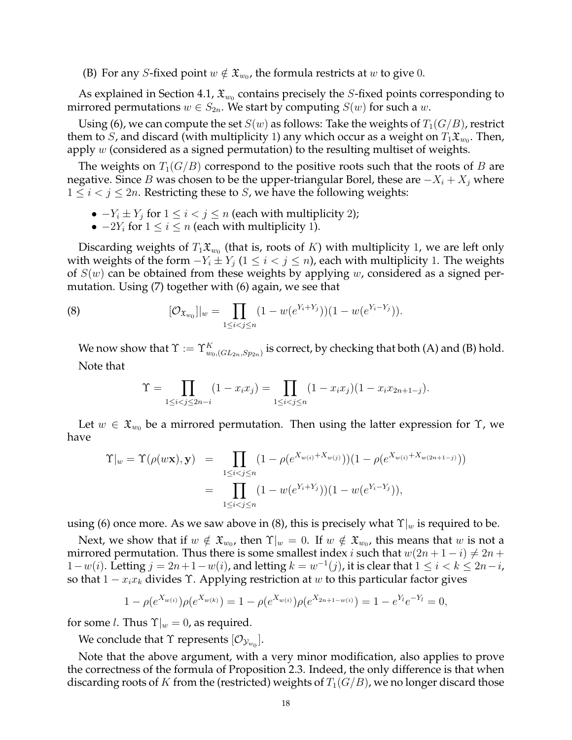(B) For any *S*-fixed point  $w \notin \mathfrak{X}_{w_0}$ , the formula restricts at  $w$  to give 0.

As explained in Section 4.1,  $\mathfrak{X}_{w_0}$  contains precisely the *S*-fixed points corresponding to mirrored permutations  $w \in S_{2n}$ . We start by computing  $S(w)$  for such a w.

Using (6), we can compute the set  $S(w)$  as follows: Take the weights of  $T_1(G/B)$ , restrict them to  $S$ , and discard (with multiplicity 1) any which occur as a weight on  $T_1\mathfrak{X}_{w_0}.$  Then, apply  $w$  (considered as a signed permutation) to the resulting multiset of weights.

The weights on  $T_1(G/B)$  correspond to the positive roots such that the roots of B are negative. Since B was chosen to be the upper-triangular Borel, these are  $-X_i + X_j$  where  $1 \leq i < j \leq 2n$ . Restricting these to *S*, we have the following weights:

- $-Y_i \pm Y_j$  for  $1 \leq i < j \leq n$  (each with multiplicity 2);
- $-2Y_i$  for  $1 \le i \le n$  (each with multiplicity 1).

Discarding weights of  $T_1\mathfrak{X}_{w_0}$  (that is, roots of  $K$ ) with multiplicity 1, we are left only with weights of the form  $-Y_i \pm Y_j$  ( $1 \leq i < j \leq n$ ), each with multiplicity 1. The weights of  $S(w)$  can be obtained from these weights by applying w, considered as a signed permutation. Using (7) together with (6) again, we see that

(8) 
$$
[\mathcal{O}_{\mathfrak{X}_{w_0}}]|_w = \prod_{1 \leq i < j \leq n} (1 - w(e^{Y_i + Y_j}))(1 - w(e^{Y_i - Y_j})).
$$

We now show that  $\Upsilon:=\Upsilon_{w_0,(GL_{2n},Sp_{2n})}^K$  is correct, by checking that both (A) and (B) hold. Note that

$$
\Upsilon = \prod_{1 \le i < j \le 2n-i} (1 - x_i x_j) = \prod_{1 \le i < j \le n} (1 - x_i x_j)(1 - x_i x_{2n+1-j}).
$$

Let  $w \in \mathfrak{X}_{w_0}$  be a mirrored permutation. Then using the latter expression for  $\Upsilon$ , we have

$$
\begin{aligned} \Upsilon|_{w} &= \Upsilon(\rho(w\mathbf{x}), \mathbf{y}) = \prod_{1 \leq i < j \leq n} (1 - \rho(e^{X_{w(i)} + X_{w(j)}}))(1 - \rho(e^{X_{w(i)} + X_{w(2n+1-j)}})) \\ &= \prod_{1 \leq i < j \leq n} (1 - w(e^{Y_i + Y_j}))(1 - w(e^{Y_i - Y_j})), \end{aligned}
$$

using (6) once more. As we saw above in (8), this is precisely what  $\Upsilon|_w$  is required to be.

Next, we show that if  $w \notin \mathfrak{X}_{w_0}$ , then  $\Upsilon|_w = 0$ . If  $w \notin \mathfrak{X}_{w_0}$ , this means that  $w$  is not a mirrored permutation. Thus there is some smallest index i such that  $w(2n + 1 - i) \neq 2n + 1$ 1 –  $w(i)$ . Letting  $j = 2n + 1 - w(i)$ , and letting  $k = w^{-1}(j)$ , it is clear that  $1 \le i < k \le 2n - i$ , so that  $1 - x_i x_k$  divides  $\Upsilon$ . Applying restriction at w to this particular factor gives

$$
1 - \rho(e^{X_{w(i)}})\rho(e^{X_{w(k)}}) = 1 - \rho(e^{X_{w(i)}})\rho(e^{X_{2n+1-w(i)}}) = 1 - e^{Y_i}e^{-Y_i} = 0,
$$

for some *l*. Thus  $\Upsilon|_w = 0$ , as required.

We conclude that  $\Upsilon$  represents  $[\mathcal{O}_{\mathcal{Y}_{w_0}}].$ 

Note that the above argument, with a very minor modification, also applies to prove the correctness of the formula of Proposition 2.3. Indeed, the only difference is that when discarding roots of K from the (restricted) weights of  $T_1(G/B)$ , we no longer discard those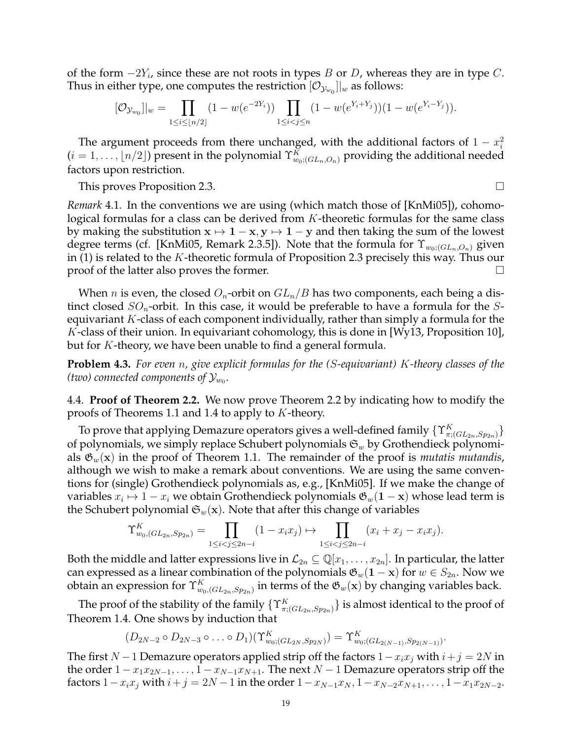of the form  $-2Y_i$ , since these are not roots in types B or D, whereas they are in type C. Thus in either type, one computes the restriction  $[\mathcal{O}_{\mathcal{Y}_{w_0}}]|_w$  as follows:

$$
[\mathcal{O}_{\mathcal{Y}_{w_0}}]|_w = \prod_{1 \le i \le \lfloor n/2 \rfloor} (1 - w(e^{-2Y_i})) \prod_{1 \le i < j \le n} (1 - w(e^{Y_i + Y_j}))(1 - w(e^{Y_i - Y_j})).
$$

The argument proceeds from there unchanged, with the additional factors of  $1 - x_i^2$  $(i = 1, \ldots, \lfloor n/2 \rfloor)$  present in the polynomial  $\Upsilon_{w_0; (GL_n, O_n)}^K$  providing the additional needed factors upon restriction.

This proves Proposition 2.3.

*Remark* 4.1*.* In the conventions we are using (which match those of [KnMi05]), cohomological formulas for a class can be derived from K-theoretic formulas for the same class by making the substitution  $x \mapsto 1 - x$ ,  $y \mapsto 1 - y$  and then taking the sum of the lowest degree terms (cf. [KnMi05, Remark 2.3.5]). Note that the formula for  $\Upsilon_{w_0|(GL_n,O_n)}$  given in  $(1)$  is related to the K-theoretic formula of Proposition 2.3 precisely this way. Thus our proof of the latter also proves the former.

When *n* is even, the closed  $O_n$ -orbit on  $GL_n/B$  has two components, each being a distinct closed  $SO_n$ -orbit. In this case, it would be preferable to have a formula for the Sequivariant  $K$ -class of each component individually, rather than simply a formula for the K-class of their union. In equivariant cohomology, this is done in [Wy13, Proposition 10], but for K-theory, we have been unable to find a general formula.

**Problem 4.3.** *For even* n*, give explicit formulas for the (*S*-equivariant)* K*-theory classes of the* (two) connected components of  $\mathcal{Y}_{w_0}.$ 

4.4. **Proof of Theorem 2.2.** We now prove Theorem 2.2 by indicating how to modify the proofs of Theorems 1.1 and 1.4 to apply to K-theory.

To prove that applying Demazure operators gives a well-defined family  $\{\Upsilon_{\pi;(GL_{2n},Sp_{2n})}^K\}$ of polynomials, we simply replace Schubert polynomials  $\mathfrak{S}_w$  by Grothendieck polynomials  $\mathfrak{G}_w(\mathbf{x})$  in the proof of Theorem 1.1. The remainder of the proof is *mutatis mutandis*, although we wish to make a remark about conventions. We are using the same conventions for (single) Grothendieck polynomials as, e.g., [KnMi05]. If we make the change of variables  $x_i \mapsto 1-x_i$  we obtain Grothendieck polynomials  $\mathfrak{G}_w(1-\mathbf{x})$  whose lead term is the Schubert polynomial  $\mathfrak{S}_w(\mathbf{x})$ . Note that after this change of variables

$$
\Upsilon_{w_0,(GL_{2n},Sp_{2n})}^K = \prod_{1 \leq i < j \leq 2n-i} (1 - x_i x_j) \mapsto \prod_{1 \leq i < j \leq 2n-i} (x_i + x_j - x_i x_j).
$$

Both the middle and latter expressions live in  $\mathcal{L}_{2n} \subseteq \mathbb{Q}[x_1,\ldots,x_{2n}]$ . In particular, the latter can expressed as a linear combination of the polynomials  $\mathfrak{G}_w(1-x)$  for  $w \in S_{2n}$ . Now we obtain an expression for  $\Upsilon_{w_0,(GL_{2n},Sp_{2n})}^K$  in terms of the  $\mathfrak{G}_w({\bf x})$  by changing variables back.

The proof of the stability of the family  $\{\Upsilon_{\pi;(GL_{2n},Sp_{2n})}^K\}$  is almost identical to the proof of Theorem 1.4. One shows by induction that

$$
(D_{2N-2}\circ D_{2N-3}\circ\ldots\circ D_1)(\Upsilon_{w_0;(GL_{2N},Sp_{2N})}^K)=\Upsilon_{w_0;(GL_{2(N-1)},Sp_{2(N-1)})}^K.
$$

The first N − 1 Demazure operators applied strip off the factors  $1-x_ix_j$  with  $i+j=2N$  in the order  $1 - x_1x_{2N-1}, \ldots, 1 - x_{N-1}x_{N+1}$ . The next  $N-1$  Demazure operators strip off the factors  $1-x_ix_j$  with  $i+j = 2N-1$  in the order  $1-x_{N-1}x_N$ ,  $1-x_{N-2}x_{N+1}, \ldots, 1-x_1x_{2N-2}$ .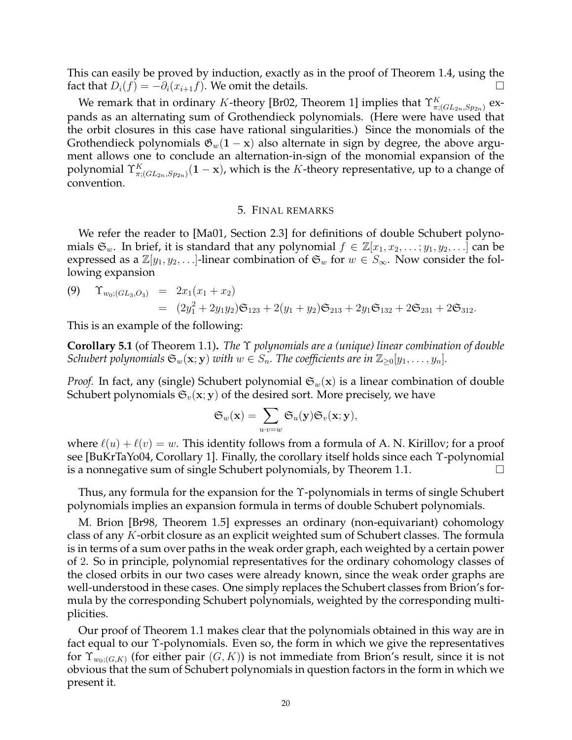This can easily be proved by induction, exactly as in the proof of Theorem 1.4, using the fact that  $D_i(f) = -\partial_i(x_{i+1}f)$ . We omit the details.

We remark that in ordinary K-theory [Br02, Theorem 1] implies that  $\Upsilon^K_{\pi;(GL_{2n},Sp_{2n})}$  expands as an alternating sum of Grothendieck polynomials. (Here were have used that the orbit closures in this case have rational singularities.) Since the monomials of the Grothendieck polynomials  $\mathfrak{G}_w(1-x)$  also alternate in sign by degree, the above argument allows one to conclude an alternation-in-sign of the monomial expansion of the polynomial  $\Upsilon^K_{\pi;(GL_{2n},Sp_{2n})}(\mathbf 1-\mathbf x)$ , which is the  $K$ -theory representative, up to a change of convention.

### 5. FINAL REMARKS

We refer the reader to [Ma01, Section 2.3] for definitions of double Schubert polynomials  $\mathfrak{S}_w$ . In brief, it is standard that any polynomial  $f \in \mathbb{Z}[x_1, x_2, \ldots; y_1, y_2, \ldots]$  can be expressed as a  $\mathbb{Z}[y_1, y_2, \ldots]$ -linear combination of  $\mathfrak{S}_w$  for  $w \in S_\infty$ . Now consider the following expansion

(9) 
$$
\Upsilon_{w_0;(GL_3,O_3)} = 2x_1(x_1 + x_2)
$$
  
=  $(2y_1^2 + 2y_1y_2)\mathfrak{S}_{123} + 2(y_1 + y_2)\mathfrak{S}_{213} + 2y_1\mathfrak{S}_{132} + 2\mathfrak{S}_{231} + 2\mathfrak{S}_{312}.$ 

This is an example of the following:

**Corollary 5.1** (of Theorem 1.1)**.** *The* Υ *polynomials are a (unique) linear combination of double Schubert polynomials*  $\mathfrak{S}_w(\mathbf{x}; \mathbf{y})$  *with*  $w \in S_n$ . The coefficients are in  $\mathbb{Z}_{\geq 0}[y_1, \ldots, y_n]$ .

*Proof.* In fact, any (single) Schubert polynomial  $\mathfrak{S}_w(\mathbf{x})$  is a linear combination of double Schubert polynomials  $\mathfrak{S}_v(\mathbf{x}; \mathbf{y})$  of the desired sort. More precisely, we have

$$
\mathfrak{S}_w(\mathbf{x}) = \sum_{u \cdot v = w} \mathfrak{S}_u(\mathbf{y}) \mathfrak{S}_v(\mathbf{x}; \mathbf{y}),
$$

where  $\ell(u) + \ell(v) = w$ . This identity follows from a formula of A. N. Kirillov; for a proof see [BuKrTaYo04, Corollary 1]. Finally, the corollary itself holds since each Υ-polynomial is a nonnegative sum of single Schubert polynomials, by Theorem 1.1.

Thus, any formula for the expansion for the Υ-polynomials in terms of single Schubert polynomials implies an expansion formula in terms of double Schubert polynomials.

M. Brion [Br98, Theorem 1.5] expresses an ordinary (non-equivariant) cohomology class of any K-orbit closure as an explicit weighted sum of Schubert classes. The formula is in terms of a sum over paths in the weak order graph, each weighted by a certain power of 2. So in principle, polynomial representatives for the ordinary cohomology classes of the closed orbits in our two cases were already known, since the weak order graphs are well-understood in these cases. One simply replaces the Schubert classes from Brion's formula by the corresponding Schubert polynomials, weighted by the corresponding multiplicities.

Our proof of Theorem 1.1 makes clear that the polynomials obtained in this way are in fact equal to our Υ-polynomials. Even so, the form in which we give the representatives for  $\Upsilon_{w_0; (G,K)}$  (for either pair  $(G, K)$ ) is not immediate from Brion's result, since it is not obvious that the sum of Schubert polynomials in question factors in the form in which we present it.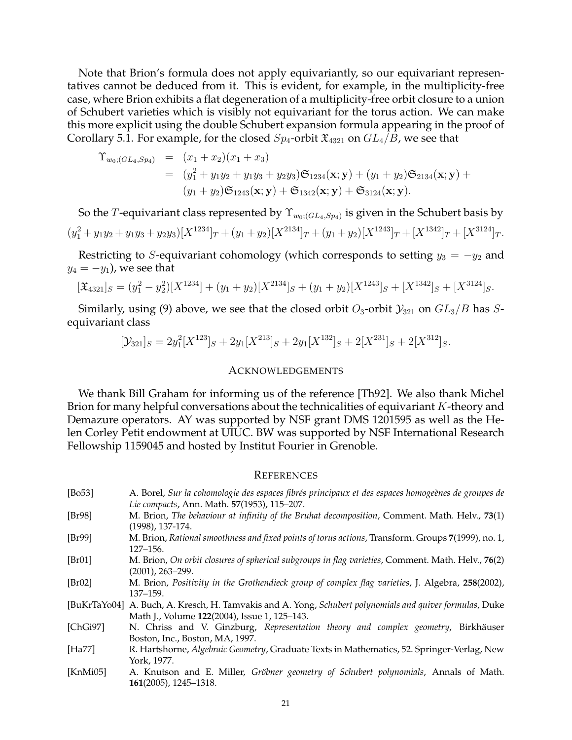Note that Brion's formula does not apply equivariantly, so our equivariant representatives cannot be deduced from it. This is evident, for example, in the multiplicity-free case, where Brion exhibits a flat degeneration of a multiplicity-free orbit closure to a union of Schubert varieties which is visibly not equivariant for the torus action. We can make this more explicit using the double Schubert expansion formula appearing in the proof of Corollary 5.1. For example, for the closed  $Sp_4$ -orbit  $\mathfrak{X}_{4321}$  on  $GL_4/B$ , we see that

$$
\begin{array}{rcl}\n\Upsilon_{w_0;(GL_4,Sp_4)} & = & (x_1 + x_2)(x_1 + x_3) \\
& = & (y_1^2 + y_1y_2 + y_1y_3 + y_2y_3)\mathfrak{S}_{1234}(\mathbf{x}; \mathbf{y}) + (y_1 + y_2)\mathfrak{S}_{2134}(\mathbf{x}; \mathbf{y}) + \\
& & (y_1 + y_2)\mathfrak{S}_{1243}(\mathbf{x}; \mathbf{y}) + \mathfrak{S}_{1342}(\mathbf{x}; \mathbf{y}) + \mathfrak{S}_{3124}(\mathbf{x}; \mathbf{y}).\n\end{array}
$$

So the  $T$ -equivariant class represented by  $\Upsilon_{w_0;(GL_4,Sp_4)}$  is given in the Schubert basis by  $(y_1^2 + y_1y_2 + y_1y_3 + y_2y_3)[X^{1234}]_T + (y_1 + y_2)[X^{2134}]_T + (y_1 + y_2)[X^{1243}]_T + [X^{1342}]_T + [X^{3124}]_T.$ 

Restricting to S-equivariant cohomology (which corresponds to setting  $y_3 = -y_2$  and  $y_4 = -y_1$ , we see that

$$
[\mathfrak{X}_{4321}]_S = (y_1^2 - y_2^2)[X^{1234}] + (y_1 + y_2)[X^{2134}]_S + (y_1 + y_2)[X^{1243}]_S + [X^{1342}]_S + [X^{3124}]_S.
$$

Similarly, using (9) above, we see that the closed orbit  $O_3$ -orbit  $\mathcal{Y}_{321}$  on  $GL_3/B$  has Sequivariant class

$$
[\mathcal{Y}_{321}]_S = 2y_1^2[X^{123}]_S + 2y_1[X^{213}]_S + 2y_1[X^{132}]_S + 2[X^{231}]_S + 2[X^{312}]_S.
$$

#### ACKNOWLEDGEMENTS

We thank Bill Graham for informing us of the reference [Th92]. We also thank Michel Brion for many helpful conversations about the technicalities of equivariant  $K$ -theory and Demazure operators. AY was supported by NSF grant DMS 1201595 as well as the Helen Corley Petit endowment at UIUC. BW was supported by NSF International Research Fellowship 1159045 and hosted by Institut Fourier in Grenoble.

#### **REFERENCES**

- [Bo53] A. Borel, *Sur la cohomologie des espaces fibr´es principaux et des espaces homoge`enes de groupes de Lie compacts*, Ann. Math. **57**(1953), 115–207.
- [Br98] M. Brion, *The behaviour at infinity of the Bruhat decomposition*, Comment. Math. Helv., **73**(1) (1998), 137-174.
- [Br99] M. Brion, *Rational smoothness and fixed points of torus actions*, Transform. Groups **7**(1999), no. 1, 127–156.
- [Br01] M. Brion, *On orbit closures of spherical subgroups in flag varieties*, Comment. Math. Helv., **76**(2) (2001), 263–299.
- [Br02] M. Brion, *Positivity in the Grothendieck group of complex flag varieties*, J. Algebra, **258**(2002), 137–159.

[BuKrTaYo04] A. Buch, A. Kresch, H. Tamvakis and A. Yong, *Schubert polynomials and quiver formulas*, Duke Math J., Volume **122**(2004), Issue 1, 125–143.

[ChGi97] N. Chriss and V. Ginzburg, *Representation theory and complex geometry*, Birkhäuser Boston, Inc., Boston, MA, 1997.

- [Ha77] R. Hartshorne, *Algebraic Geometry*, Graduate Texts in Mathematics, 52. Springer-Verlag, New York, 1977.
- [KnMi05] A. Knutson and E. Miller, *Gröbner geometry of Schubert polynomials*, Annals of Math. **161**(2005), 1245–1318.